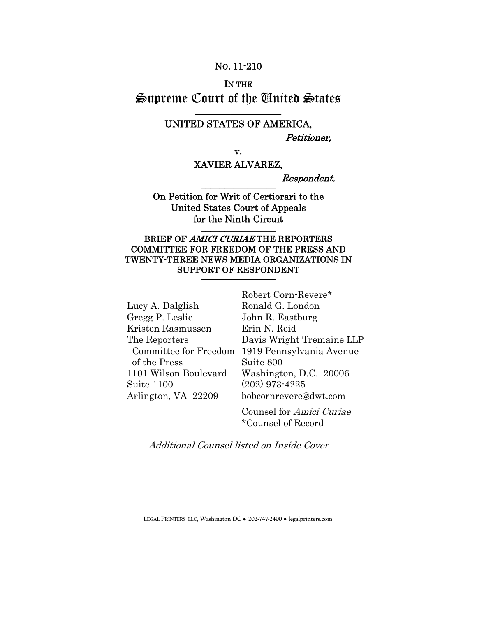#### NO. 11-210

# IN THE Supreme Court of the United States

## \_\_\_\_\_\_\_\_\_\_\_\_\_\_\_\_\_\_\_\_\_\_ UNITED STATES OF AMERICA,

Petitioner,

v.

## XAVIER ALVAREZ,

Respondent. \_\_\_\_\_\_\_\_\_\_\_\_\_\_\_\_

On Petition for Writ of Certiorari to the United States Court of Appeals for the Ninth Circuit  $\frac{1}{2}$ 

## BRIEF OF AMICI CURIAE THE REPORTERS COMMITTEE FOR FREEDOM OF THE PRESS AND TWENTY-THREE NEWS MEDIA ORGANIZATIONS IN SUPPORT OF RESPONDENT

Lucy A. Dalglish Gregg P. Leslie Kristen Rasmussen The Reporters of the Press 1101 Wilson Boulevard Suite 1100 Arlington, VA 22209

 Committee for Freedom 1919 Pennsylvania Avenue Robert Corn-Revere\* Ronald G. London John R. Eastburg Erin N. Reid Davis Wright Tremaine LLP Suite 800 Washington, D.C. 20006 (202) 973-4225 bobcornrevere@dwt.com

> Counsel for Amici Curiae \*Counsel of Record

Additional Counsel listed on Inside Cover

**LEGAL PRINTERS LLC, Washington DC** ! **202-747-2400** ! **legalprinters.com**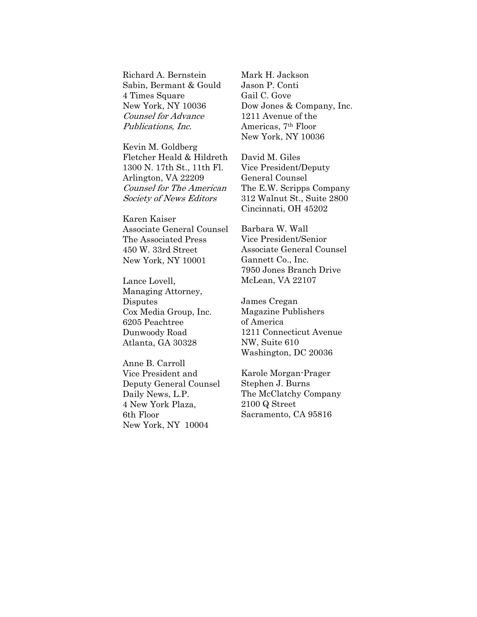Richard A. Bernstein Sabin, Bermant & Gould 4 Times Square New York, NY 10036 Counsel for Advance Publications, Inc.

Kevin M. Goldberg Fletcher Heald & Hildreth 1300 N. 17th St., 11th Fl. Arlington, VA 22209 Counsel for The American Society of News Editors

Karen Kaiser Associate General Counsel The Associated Press 450 W. 33rd Street New York, NY 10001

Lance Lovell, Managing Attorney, Disputes Cox Media Group, Inc. 6205 Peachtree Dunwoody Road Atlanta, GA 30328

Anne B. Carroll Vice President and Deputy General Counsel Daily News, L.P. 4 New York Plaza, 6th Floor New York, NY 10004

Mark H. Jackson Jason P. Conti Gail C. Gove Dow Jones & Company, Inc. 1211 Avenue of the Americas, 7th Floor New York, NY 10036

David M. Giles Vice President/Deputy General Counsel The E.W. Scripps Company 312 Walnut St., Suite 2800 Cincinnati, OH 45202

Barbara W. Wall Vice President/Senior Associate General Counsel Gannett Co., Inc. 7950 Jones Branch Drive McLean, VA 22107

James Cregan Magazine Publishers of America 1211 Connecticut Avenue NW, Suite 610 Washington, DC 20036

Karole Morgan-Prager Stephen J. Burns The McClatchy Company 2100 Q Street Sacramento, CA 95816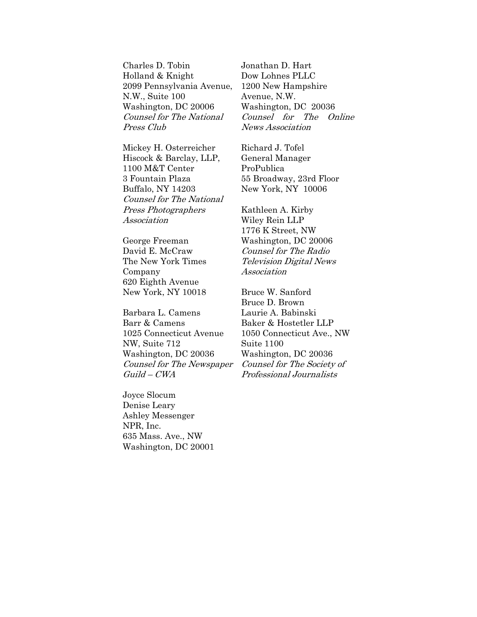Charles D. Tobin Holland & Knight 2099 Pennsylvania Avenue, N.W., Suite 100 Washington, DC 20006 Counsel for The National Press Club

Mickey H. Osterreicher Hiscock & Barclay, LLP, 1100 M&T Center 3 Fountain Plaza Buffalo, NY 14203 Counsel for The National Press Photographers Association

George Freeman David E. McCraw The New York Times Company 620 Eighth Avenue New York, NY 10018

Barbara L. Camens Barr & Camens 1025 Connecticut Avenue NW, Suite 712 Washington, DC 20036 Counsel for The Newspaper Guild – CWA

Joyce Slocum Denise Leary Ashley Messenger NPR, Inc. 635 Mass. Ave., NW Washington, DC 20001 Jonathan D. Hart Dow Lohnes PLLC 1200 New Hampshire Avenue, N.W. Washington, DC 20036 Counsel for The Online News Association

Richard J. Tofel General Manager ProPublica 55 Broadway, 23rd Floor New York, NY 10006

Kathleen A. Kirby Wiley Rein LLP 1776 K Street, NW Washington, DC 20006 Counsel for The Radio Television Digital News Association

Bruce W. Sanford Bruce D. Brown Laurie A. Babinski Baker & Hostetler LLP 1050 Connecticut Ave., NW Suite 1100 Washington, DC 20036 Counsel for The Society of Professional Journalists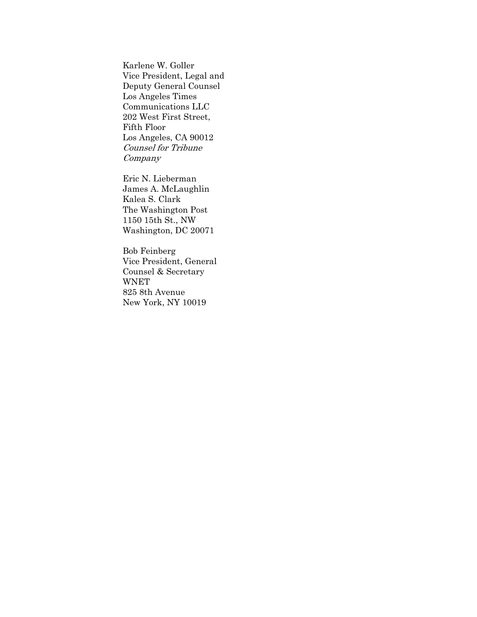Karlene W. Goller Vice President, Legal and Deputy General Counsel Los Angeles Times Communications LLC 202 West First Street, Fifth Floor Los Angeles, CA 90012 Counsel for Tribune Company

Eric N. Lieberman James A. McLaughlin Kalea S. Clark The Washington Post 1150 15th St., NW Washington, DC 20071

Bob Feinberg Vice President, General Counsel & Secretary WNET 825 8th Avenue New York, NY 10019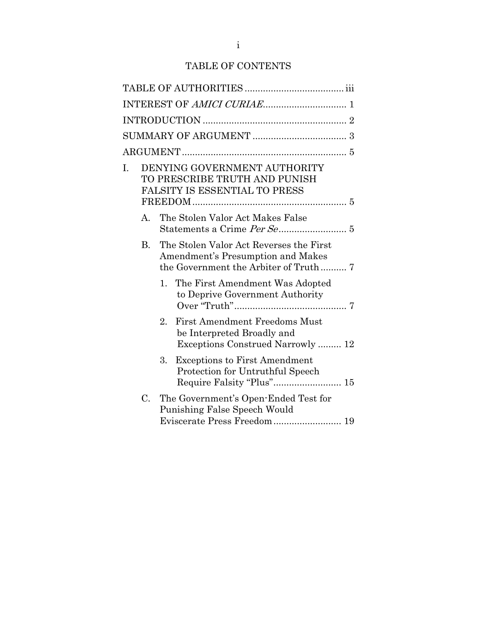## TABLE OF CONTENTS

| I. |    | DENYING GOVERNMENT AUTHORITY<br>TO PRESCRIBE TRUTH AND PUNISH<br><b>FALSITY IS ESSENTIAL TO PRESS</b>                  |
|----|----|------------------------------------------------------------------------------------------------------------------------|
|    | А. | The Stolen Valor Act Makes False                                                                                       |
|    | B. | The Stolen Valor Act Reverses the First<br>Amendment's Presumption and Makes                                           |
|    |    | 1.<br>The First Amendment Was Adopted<br>to Deprive Government Authority                                               |
|    |    | <b>First Amendment Freedoms Must</b><br>$2^{\circ}$<br>be Interpreted Broadly and<br>Exceptions Construed Narrowly  12 |
|    |    | 3.<br><b>Exceptions to First Amendment</b><br>Protection for Untruthful Speech<br>Require Falsity "Plus" 15            |
|    | C. | The Government's Open-Ended Test for<br>Punishing False Speech Would<br>Eviscerate Press Freedom 19                    |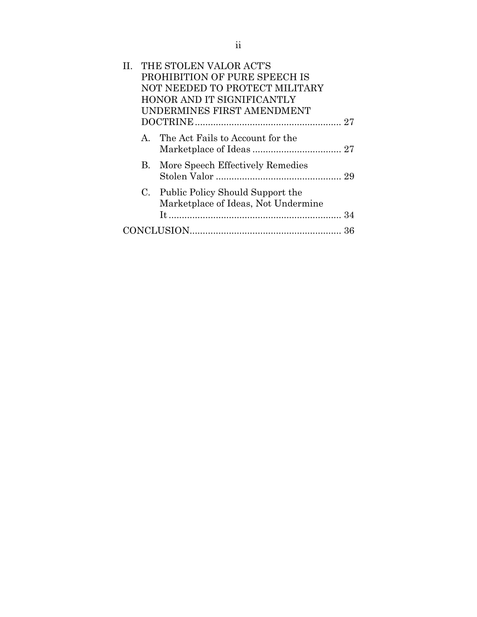|  | THE STOLEN VALOR ACT'S<br>PROHIBITION OF PURE SPEECH IS<br>NOT NEEDED TO PROTECT MILITARY<br>HONOR AND IT SIGNIFICANTLY<br>UNDERMINES FIRST AMENDMENT |
|--|-------------------------------------------------------------------------------------------------------------------------------------------------------|
|  | A. The Act Fails to Account for the                                                                                                                   |
|  | <b>B.</b> More Speech Effectively Remedies                                                                                                            |
|  | C. Public Policy Should Support the<br>Marketplace of Ideas, Not Undermine                                                                            |
|  |                                                                                                                                                       |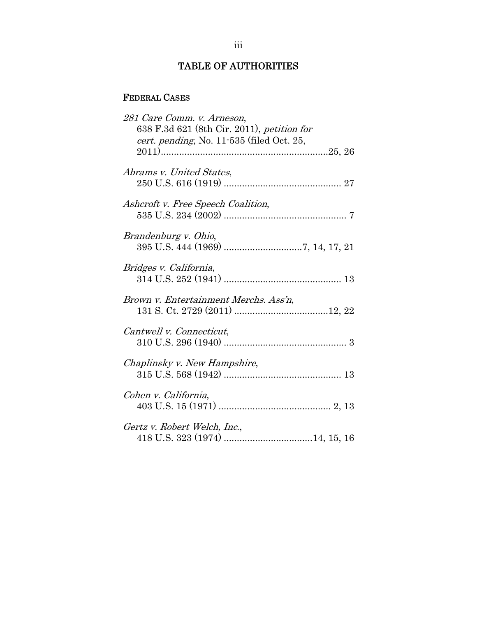## TABLE OF AUTHORITIES

## FEDERAL CASES

| 281 Care Comm. v. Arneson,                 |
|--------------------------------------------|
| 638 F.3d 621 (8th Cir. 2011), petition for |
| cert. pending, No. 11-535 (filed Oct. 25,  |
|                                            |
|                                            |
| Abrams v. United States,                   |
|                                            |
|                                            |
| Ashcroft v. Free Speech Coalition,         |
|                                            |
|                                            |
| Brandenburg v. Ohio,                       |
|                                            |
|                                            |
| Bridges v. California,                     |
|                                            |
|                                            |
| Brown v. Entertainment Merchs. Ass'n,      |
|                                            |
|                                            |
| Cantwell v. Connecticut,                   |
|                                            |
|                                            |
| Chaplinsky v. New Hampshire,               |
|                                            |
|                                            |
| Cohen v. California,                       |
|                                            |
|                                            |
| Gertz v. Robert Welch, Inc.,               |
|                                            |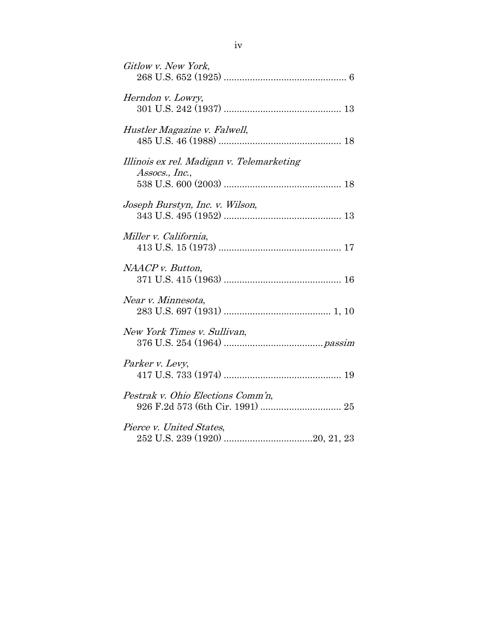| Gitlow v. New York,                                         |
|-------------------------------------------------------------|
| Herndon v. Lowry,                                           |
| Hustler Magazine v. Falwell,                                |
| Illinois ex rel. Madigan v. Telemarketing<br>Assocs., Inc., |
| Joseph Burstyn, Inc. v. Wilson,                             |
| Miller v. California,                                       |
| NAACP v. Button,                                            |
| Near v. Minnesota,                                          |
| New York Times v. Sullivan,                                 |
| Parker v. Levy,                                             |
| Pestrak v. Ohio Elections Comm'n,                           |
| Pierce v. United States,                                    |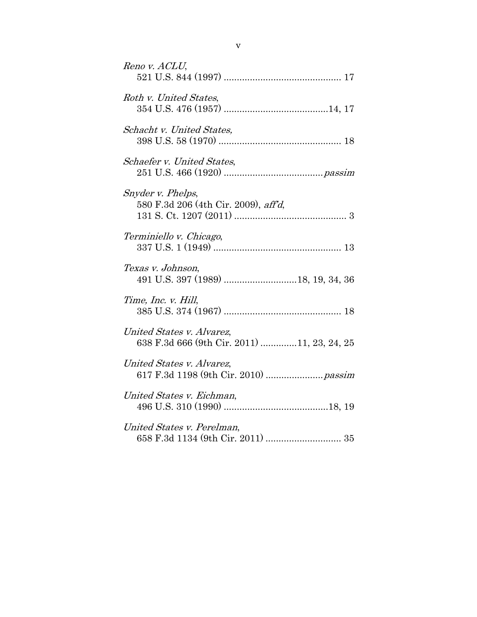| Reno v. ACLU,                                                            |
|--------------------------------------------------------------------------|
| Roth v. United States,                                                   |
| Schacht v. United States,                                                |
| Schaefer v. United States,                                               |
| Snyder v. Phelps,<br>580 F.3d 206 (4th Cir. 2009), aff'd,                |
| Terminiello v. Chicago,                                                  |
| Texas v. Johnson,                                                        |
| Time, Inc. v. Hill,                                                      |
| United States v. Alvarez,<br>638 F.3d 666 (9th Cir. 2011) 11, 23, 24, 25 |
| United States v. Alvarez,                                                |
| United States v. Eichman,                                                |
| United States v. Perelman,                                               |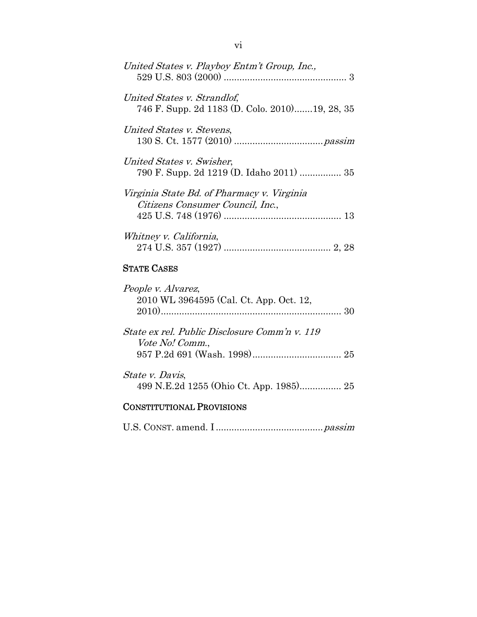| United States v. Playboy Entm't Group, Inc.,                                   |
|--------------------------------------------------------------------------------|
| United States v. Strandlof,<br>746 F. Supp. 2d 1183 (D. Colo. 2010)19, 28, 35  |
| United States v. Stevens,                                                      |
| United States v. Swisher,                                                      |
| Virginia State Bd. of Pharmacy v. Virginia<br>Citizens Consumer Council, Inc., |
| Whitney v. California,                                                         |

## STATE CASES

| People v. Alvarez,<br>2010 WL 3964595 (Cal. Ct. App. Oct. 12,           | 30 |
|-------------------------------------------------------------------------|----|
| State ex rel. Public Disclosure Comm'n v. 119<br><i>Vote No! Comm.,</i> |    |
| State v. Davis,                                                         |    |

# CONSTITUTIONAL PROVISIONS

U.S. CONST. amend. I ......................................... passim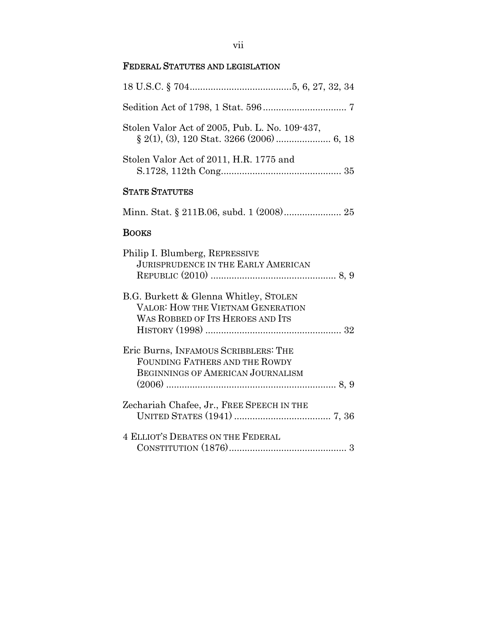## vii

## FEDERAL STATUTES AND LEGISLATION

| Stolen Valor Act of 2005, Pub. L. No. 109-437,                                                                     |
|--------------------------------------------------------------------------------------------------------------------|
| Stolen Valor Act of 2011, H.R. 1775 and                                                                            |
| <b>STATE STATUTES</b>                                                                                              |
| Minn. Stat. § 211B.06, subd. 1 (2008) 25                                                                           |
| <b>BOOKS</b>                                                                                                       |
| Philip I. Blumberg, REPRESSIVE<br><b>JURISPRUDENCE IN THE EARLY AMERICAN</b>                                       |
| B.G. Burkett & Glenna Whitley, STOLEN<br>VALOR: HOW THE VIETNAM GENERATION<br>WAS ROBBED OF ITS HEROES AND ITS     |
| Eric Burns, INFAMOUS SCRIBBLERS: THE<br>FOUNDING FATHERS AND THE ROWDY<br><b>BEGINNINGS OF AMERICAN JOURNALISM</b> |
| Zechariah Chafee, Jr., FREE SPEECH IN THE                                                                          |
| <b>4 ELLIOT'S DEBATES ON THE FEDERAL</b>                                                                           |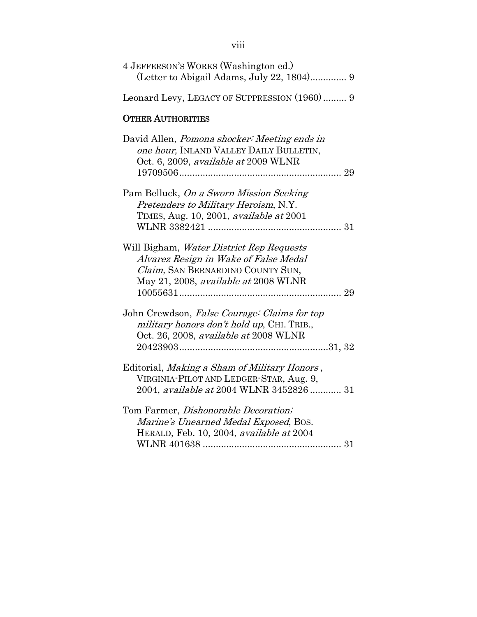| 4 JEFFERSON'S WORKS (Washington ed.)<br>(Letter to Abigail Adams, July 22, 1804) 9                                                                                   |
|----------------------------------------------------------------------------------------------------------------------------------------------------------------------|
| Leonard Levy, LEGACY OF SUPPRESSION (1960) 9                                                                                                                         |
| <b>OTHER AUTHORITIES</b>                                                                                                                                             |
| David Allen, <i>Pomona shocker: Meeting ends in</i><br>one hour, INLAND VALLEY DAILY BULLETIN,<br>Oct. 6, 2009, available at 2009 WLNR                               |
| Pam Belluck, On a Sworn Mission Seeking<br>Pretenders to Military Heroism, N.Y.<br>TIMES, Aug. 10, 2001, available at 2001                                           |
| Will Bigham, Water District Rep Requests<br>Alvarez Resign in Wake of False Medal<br>Claim, SAN BERNARDINO COUNTY SUN,<br>May 21, 2008, available at 2008 WLNR<br>29 |
| John Crewdson, False Courage: Claims for top<br>military honors don't hold up, CHI. TRIB.,<br>Oct. 26, 2008, available at 2008 WLNR                                  |
| Editorial, Making a Sham of Military Honors,<br>VIRGINIA-PILOT AND LEDGER-STAR, Aug. 9,<br>2004, available at 2004 WLNR 3452826  31                                  |
| Tom Farmer, Dishonorable Decoration;<br>Marine's Unearned Medal Exposed, Bos.<br>HERALD, Feb. 10, 2004, available at 2004                                            |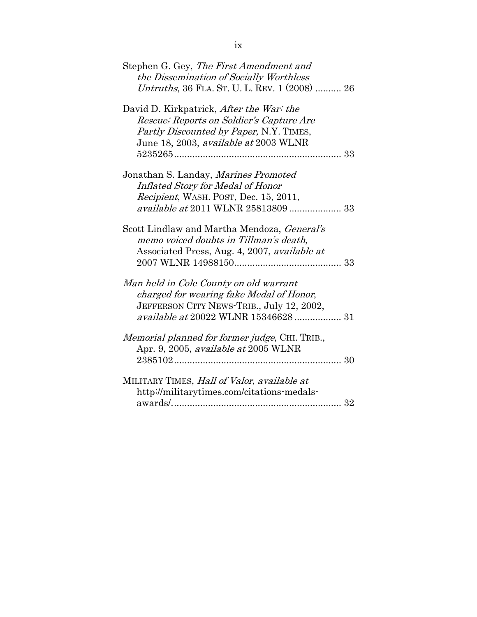| Stephen G. Gey, The First Amendment and               |
|-------------------------------------------------------|
| the Dissemination of Socially Worthless               |
| Untruths, 36 FLA. ST. U. L. REV. 1 (2008)  26         |
| David D. Kirkpatrick, After the War: the              |
| Rescue; Reports on Soldier's Capture Are              |
| <i>Partly Discounted by Paper, N.Y. TIMES,</i>        |
| June 18, 2003, available at 2003 WLNR                 |
|                                                       |
| Jonathan S. Landay, Marines Promoted                  |
| Inflated Story for Medal of Honor                     |
| Recipient, WASH. POST, Dec. 15, 2011,                 |
| available at 2011 WLNR 25813809 33                    |
|                                                       |
| Scott Lindlaw and Martha Mendoza, <i>General's</i>    |
| memo voiced doubts in Tillman's death,                |
| Associated Press, Aug. 4, 2007, available at          |
|                                                       |
|                                                       |
| Man held in Cole County on old warrant                |
| charged for wearing fake Medal of Honor,              |
| JEFFERSON CITY NEWS-TRIB., July 12, 2002,             |
| available at 20022 WLNR 15346628 31                   |
|                                                       |
| <i>Memorial planned for former judge, CHI. TRIB.,</i> |
| Apr. 9, 2005, <i>available at</i> 2005 WLNR           |
|                                                       |
|                                                       |
| MILITARY TIMES, Hall of Valor, available at           |
| http://militarytimes.com/citations-medals-            |
|                                                       |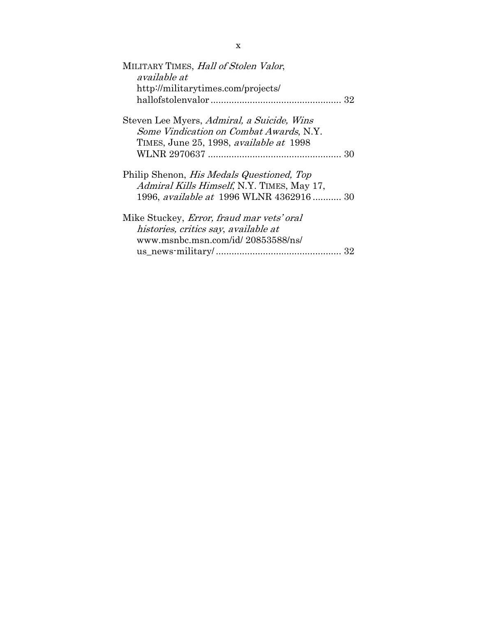| MILITARY TIMES, Hall of Stolen Valor,             |
|---------------------------------------------------|
| available at                                      |
| http://militarytimes.com/projects/                |
|                                                   |
| Steven Lee Myers, Admiral, a Suicide, Wins        |
| Some Vindication on Combat Awards, N.Y.           |
| TIMES, June 25, 1998, <i>available at</i> 1998    |
|                                                   |
| Philip Shenon, <i>His Medals Questioned</i> , Top |
| Admiral Kills Himself, N.Y. TIMES, May 17,        |
| 1996, <i>available at</i> 1996 WLNR 4362916 30    |
| Mike Stuckey, <i>Error</i> , fraud mar vets' oral |
| histories, critics say, available at              |
| www.msnbc.msn.com/id/ 20853588/ns/                |
|                                                   |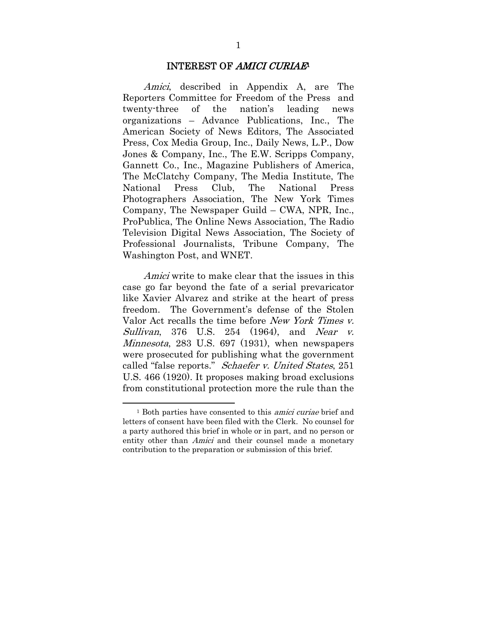#### INTEREST OF AMICI CURIAE<sup>1</sup>

Amici, described in Appendix A, are The Reporters Committee for Freedom of the Press and twenty-three of the nation's leading news organizations – Advance Publications, Inc., The American Society of News Editors, The Associated Press, Cox Media Group, Inc., Daily News, L.P., Dow Jones & Company, Inc., The E.W. Scripps Company, Gannett Co., Inc., Magazine Publishers of America, The McClatchy Company, The Media Institute, The National Press Club, The National Press Photographers Association, The New York Times Company, The Newspaper Guild – CWA, NPR, Inc., ProPublica, The Online News Association, The Radio Television Digital News Association, The Society of Professional Journalists, Tribune Company, The Washington Post, and WNET.

Amici write to make clear that the issues in this case go far beyond the fate of a serial prevaricator like Xavier Alvarez and strike at the heart of press freedom. The Government's defense of the Stolen Valor Act recalls the time before New York Times v. Sullivan, 376 U.S. 254 (1964), and Near v. Minnesota, 283 U.S. 697 (1931), when newspapers were prosecuted for publishing what the government called "false reports." Schaefer v. United States, 251 U.S. 466 (1920). It proposes making broad exclusions from constitutional protection more the rule than the

 $\overline{a}$ 

<sup>&</sup>lt;sup>1</sup> Both parties have consented to this *amici curiae* brief and letters of consent have been filed with the Clerk. No counsel for a party authored this brief in whole or in part, and no person or entity other than *Amici* and their counsel made a monetary contribution to the preparation or submission of this brief.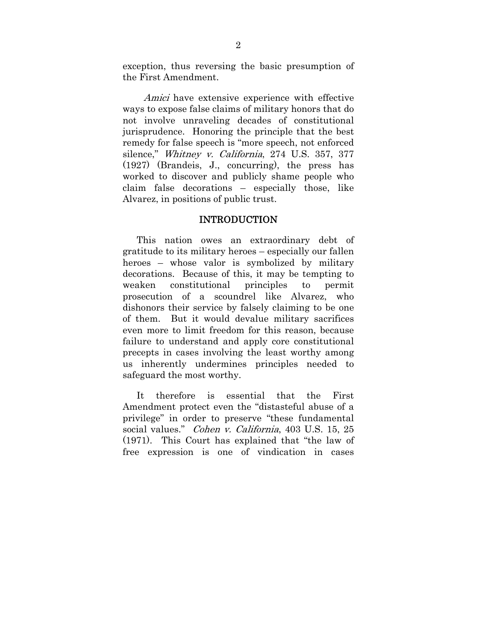exception, thus reversing the basic presumption of the First Amendment.

Amici have extensive experience with effective ways to expose false claims of military honors that do not involve unraveling decades of constitutional jurisprudence. Honoring the principle that the best remedy for false speech is "more speech, not enforced silence," Whitney v. California, 274 U.S. 357, 377 (1927) (Brandeis, J., concurring), the press has worked to discover and publicly shame people who claim false decorations – especially those, like Alvarez, in positions of public trust.

### INTRODUCTION

This nation owes an extraordinary debt of gratitude to its military heroes – especially our fallen heroes – whose valor is symbolized by military decorations. Because of this, it may be tempting to weaken constitutional principles to permit prosecution of a scoundrel like Alvarez, who dishonors their service by falsely claiming to be one of them. But it would devalue military sacrifices even more to limit freedom for this reason, because failure to understand and apply core constitutional precepts in cases involving the least worthy among us inherently undermines principles needed to safeguard the most worthy.

It therefore is essential that the First Amendment protect even the "distasteful abuse of a privilege" in order to preserve "these fundamental social values." Cohen v. California, 403 U.S. 15, 25 (1971). This Court has explained that "the law of free expression is one of vindication in cases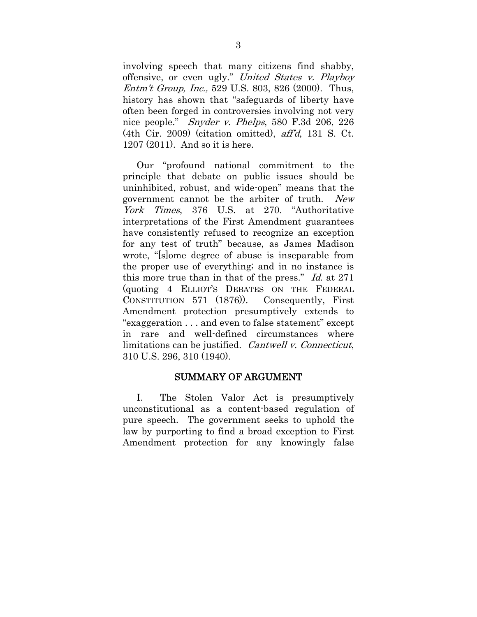involving speech that many citizens find shabby, offensive, or even ugly." United States v. Playboy Entm't Group, Inc., 529 U.S. 803, 826 (2000). Thus, history has shown that "safeguards of liberty have often been forged in controversies involving not very nice people." Snyder v. Phelps, 580 F.3d 206, 226 (4th Cir. 2009) (citation omitted), aff'd, 131 S. Ct. 1207 (2011). And so it is here.

Our "profound national commitment to the principle that debate on public issues should be uninhibited, robust, and wide-open" means that the government cannot be the arbiter of truth. New York Times, 376 U.S. at 270. "Authoritative interpretations of the First Amendment guarantees have consistently refused to recognize an exception for any test of truth" because, as James Madison wrote, "[s]ome degree of abuse is inseparable from the proper use of everything; and in no instance is this more true than in that of the press." Id. at 271 (quoting 4 ELLIOT'S DEBATES ON THE FEDERAL CONSTITUTION 571 (1876)). Consequently, First Amendment protection presumptively extends to "exaggeration . . . and even to false statement" except in rare and well-defined circumstances where limitations can be justified. Cantwell v. Connecticut, 310 U.S. 296, 310 (1940).

### SUMMARY OF ARGUMENT

I. The Stolen Valor Act is presumptively unconstitutional as a content-based regulation of pure speech. The government seeks to uphold the law by purporting to find a broad exception to First Amendment protection for any knowingly false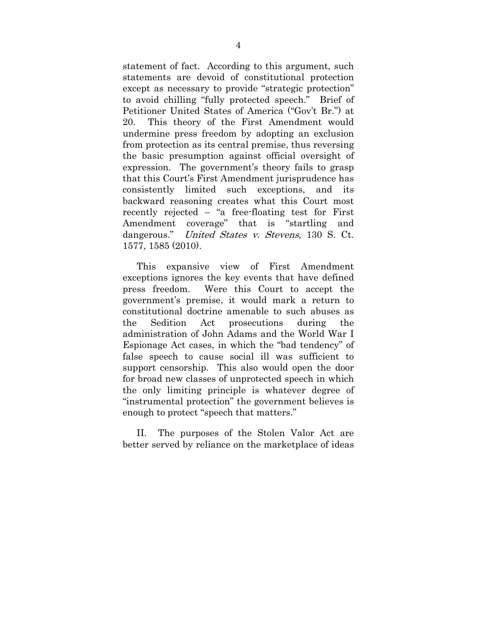statement of fact. According to this argument, such statements are devoid of constitutional protection except as necessary to provide "strategic protection" to avoid chilling "fully protected speech." Brief of Petitioner United States of America ("Gov't Br.") at 20. This theory of the First Amendment would undermine press freedom by adopting an exclusion from protection as its central premise, thus reversing the basic presumption against official oversight of expression. The government's theory fails to grasp that this Court's First Amendment jurisprudence has consistently limited such exceptions, and its backward reasoning creates what this Court most recently rejected – "a free-floating test for First Amendment coverage" that is "startling and dangerous." United States v. Stevens, 130 S. Ct. 1577, 1585 (2010).

This expansive view of First Amendment exceptions ignores the key events that have defined press freedom. Were this Court to accept the government's premise, it would mark a return to constitutional doctrine amenable to such abuses as the Sedition Act prosecutions during the administration of John Adams and the World War I Espionage Act cases, in which the "bad tendency" of false speech to cause social ill was sufficient to support censorship. This also would open the door for broad new classes of unprotected speech in which the only limiting principle is whatever degree of "instrumental protection" the government believes is enough to protect "speech that matters."

II. The purposes of the Stolen Valor Act are better served by reliance on the marketplace of ideas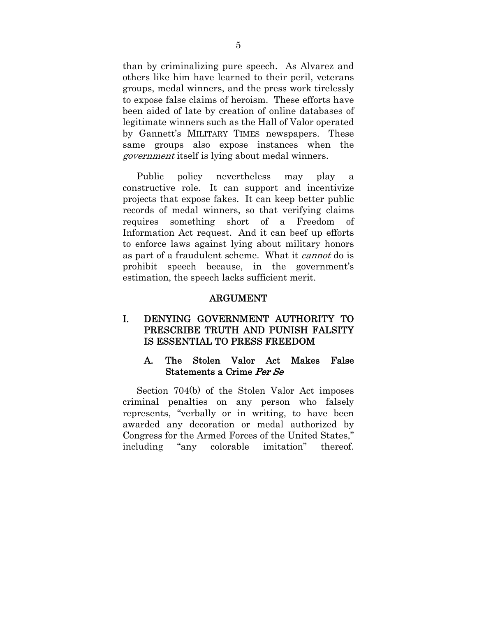than by criminalizing pure speech. As Alvarez and others like him have learned to their peril, veterans groups, medal winners, and the press work tirelessly to expose false claims of heroism. These efforts have been aided of late by creation of online databases of legitimate winners such as the Hall of Valor operated by Gannett's MILITARY TIMES newspapers. These same groups also expose instances when the government itself is lying about medal winners.

Public policy nevertheless may play a constructive role. It can support and incentivize projects that expose fakes. It can keep better public records of medal winners, so that verifying claims requires something short of a Freedom of Information Act request. And it can beef up efforts to enforce laws against lying about military honors as part of a fraudulent scheme. What it cannot do is prohibit speech because, in the government's estimation, the speech lacks sufficient merit.

#### ARGUMENT

## I. DENYING GOVERNMENT AUTHORITY TO PRESCRIBE TRUTH AND PUNISH FALSITY IS ESSENTIAL TO PRESS FREEDOM

### A. The Stolen Valor Act Makes False Statements a Crime Per Se

Section 704(b) of the Stolen Valor Act imposes criminal penalties on any person who falsely represents, "verbally or in writing, to have been awarded any decoration or medal authorized by Congress for the Armed Forces of the United States," including "any colorable imitation" thereof.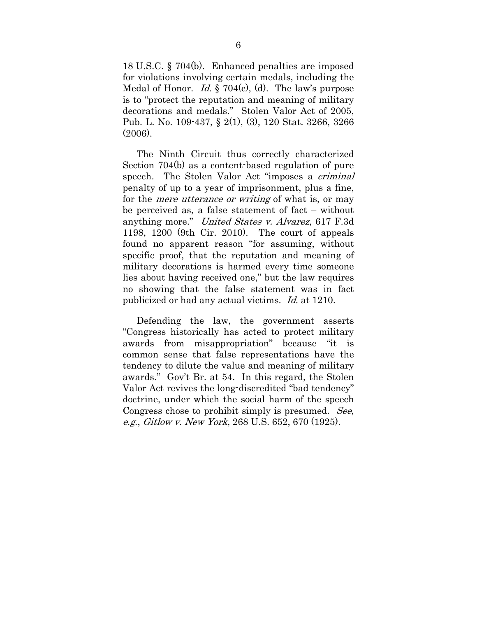18 U.S.C. § 704(b). Enhanced penalties are imposed for violations involving certain medals, including the Medal of Honor. *Id.* § 704(c), (d). The law's purpose is to "protect the reputation and meaning of military decorations and medals." Stolen Valor Act of 2005, Pub. L. No. 109-437, § 2(1), (3), 120 Stat. 3266, 3266 (2006).

The Ninth Circuit thus correctly characterized Section 704(b) as a content-based regulation of pure speech. The Stolen Valor Act "imposes a *criminal*" penalty of up to a year of imprisonment, plus a fine, for the mere utterance or writing of what is, or may be perceived as, a false statement of fact – without anything more." United States v. Alvarez, 617 F.3d 1198, 1200 (9th Cir. 2010). The court of appeals found no apparent reason "for assuming, without specific proof, that the reputation and meaning of military decorations is harmed every time someone lies about having received one," but the law requires no showing that the false statement was in fact publicized or had any actual victims. Id. at 1210.

Defending the law, the government asserts "Congress historically has acted to protect military awards from misappropriation" because "it is common sense that false representations have the tendency to dilute the value and meaning of military awards." Gov't Br. at 54. In this regard, the Stolen Valor Act revives the long-discredited "bad tendency" doctrine, under which the social harm of the speech Congress chose to prohibit simply is presumed. See, e.g., Gitlow v. New York, 268 U.S. 652, 670 (1925).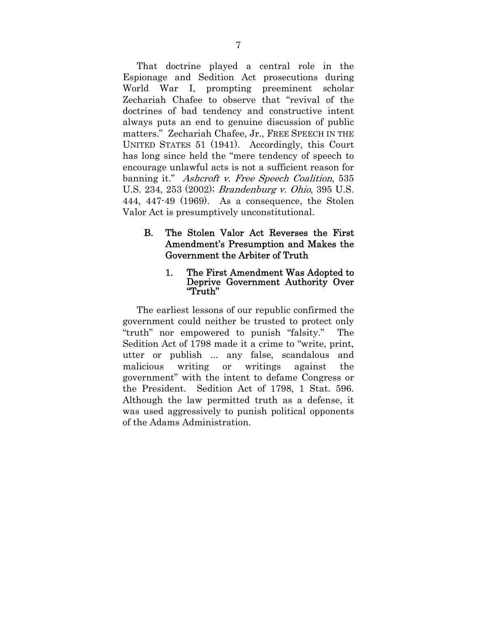That doctrine played a central role in the Espionage and Sedition Act prosecutions during World War I, prompting preeminent scholar Zechariah Chafee to observe that "revival of the doctrines of bad tendency and constructive intent always puts an end to genuine discussion of public matters." Zechariah Chafee, Jr., FREE SPEECH IN THE UNITED STATES 51 (1941). Accordingly, this Court has long since held the "mere tendency of speech to encourage unlawful acts is not a sufficient reason for banning it." Ashcroft v. Free Speech Coalition, 535 U.S. 234, 253 (2002); Brandenburg v. Ohio, 395 U.S. 444, 447-49 (1969). As a consequence, the Stolen Valor Act is presumptively unconstitutional.

## B. The Stolen Valor Act Reverses the First Amendment's Presumption and Makes the Government the Arbiter of Truth

#### 1. The First Amendment Was Adopted to Deprive Government Authority Over "Truth"

The earliest lessons of our republic confirmed the government could neither be trusted to protect only "truth" nor empowered to punish "falsity." The Sedition Act of 1798 made it a crime to "write, print, utter or publish ... any false, scandalous and malicious writing or writings against the government" with the intent to defame Congress or the President. Sedition Act of 1798, 1 Stat. 596. Although the law permitted truth as a defense, it was used aggressively to punish political opponents of the Adams Administration.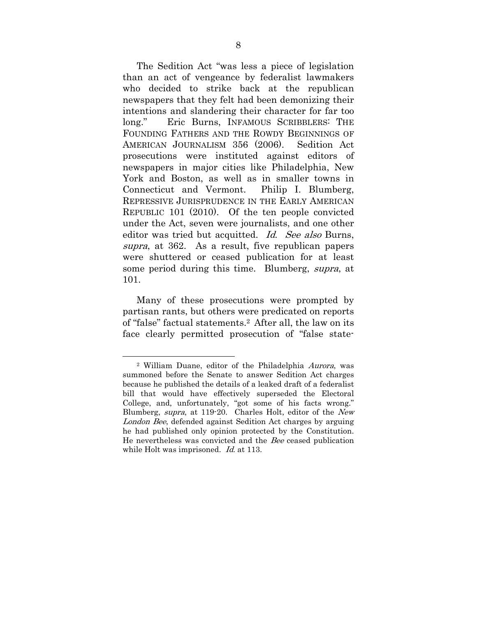The Sedition Act "was less a piece of legislation than an act of vengeance by federalist lawmakers who decided to strike back at the republican newspapers that they felt had been demonizing their intentions and slandering their character for far too long." Eric Burns, INFAMOUS SCRIBBLERS: THE FOUNDING FATHERS AND THE ROWDY BEGINNINGS OF AMERICAN JOURNALISM 356 (2006). Sedition Act prosecutions were instituted against editors of newspapers in major cities like Philadelphia, New York and Boston, as well as in smaller towns in Connecticut and Vermont. Philip I. Blumberg, REPRESSIVE JURISPRUDENCE IN THE EARLY AMERICAN REPUBLIC 101 (2010). Of the ten people convicted under the Act, seven were journalists, and one other editor was tried but acquitted. Id. See also Burns, supra, at 362. As a result, five republican papers were shuttered or ceased publication for at least some period during this time. Blumberg, supra, at 101.

Many of these prosecutions were prompted by partisan rants, but others were predicated on reports of "false" factual statements.2 After all, the law on its face clearly permitted prosecution of "false state-

l

<sup>2</sup> William Duane, editor of the Philadelphia Aurora, was summoned before the Senate to answer Sedition Act charges because he published the details of a leaked draft of a federalist bill that would have effectively superseded the Electoral College, and, unfortunately, "got some of his facts wrong." Blumberg, supra, at 119-20. Charles Holt, editor of the New London Bee, defended against Sedition Act charges by arguing he had published only opinion protected by the Constitution. He nevertheless was convicted and the Bee ceased publication while Holt was imprisoned. *Id.* at 113.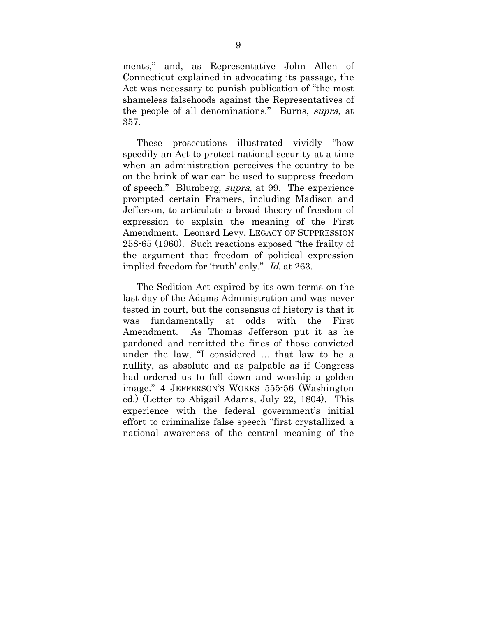ments," and, as Representative John Allen of Connecticut explained in advocating its passage, the Act was necessary to punish publication of "the most shameless falsehoods against the Representatives of the people of all denominations." Burns, supra, at 357.

These prosecutions illustrated vividly "how speedily an Act to protect national security at a time when an administration perceives the country to be on the brink of war can be used to suppress freedom of speech." Blumberg, supra, at 99. The experience prompted certain Framers, including Madison and Jefferson, to articulate a broad theory of freedom of expression to explain the meaning of the First Amendment. Leonard Levy, LEGACY OF SUPPRESSION 258-65 (1960). Such reactions exposed "the frailty of the argument that freedom of political expression implied freedom for 'truth' only." Id. at 263.

The Sedition Act expired by its own terms on the last day of the Adams Administration and was never tested in court, but the consensus of history is that it was fundamentally at odds with the First Amendment. As Thomas Jefferson put it as he pardoned and remitted the fines of those convicted under the law, "I considered ... that law to be a nullity, as absolute and as palpable as if Congress had ordered us to fall down and worship a golden image." 4 JEFFERSON'S WORKS 555-56 (Washington ed.) (Letter to Abigail Adams, July 22, 1804). This experience with the federal government's initial effort to criminalize false speech "first crystallized a national awareness of the central meaning of the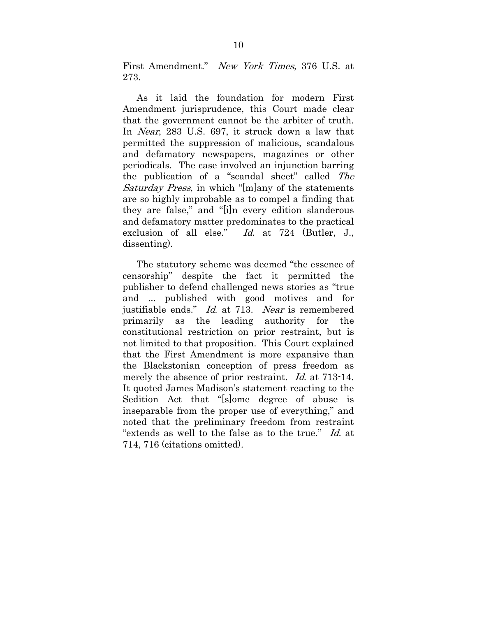First Amendment." New York Times, 376 U.S. at 273.

As it laid the foundation for modern First Amendment jurisprudence, this Court made clear that the government cannot be the arbiter of truth. In Near, 283 U.S. 697, it struck down a law that permitted the suppression of malicious, scandalous and defamatory newspapers, magazines or other periodicals. The case involved an injunction barring the publication of a "scandal sheet" called The Saturday Press, in which "[m]any of the statements" are so highly improbable as to compel a finding that they are false," and "[i]n every edition slanderous and defamatory matter predominates to the practical exclusion of all else." Id. at 724 (Butler, J., dissenting).

The statutory scheme was deemed "the essence of censorship" despite the fact it permitted the publisher to defend challenged news stories as "true and ... published with good motives and for justifiable ends." Id. at 713. Near is remembered primarily as the leading authority for the constitutional restriction on prior restraint, but is not limited to that proposition. This Court explained that the First Amendment is more expansive than the Blackstonian conception of press freedom as merely the absence of prior restraint. Id. at 713-14. It quoted James Madison's statement reacting to the Sedition Act that "[s]ome degree of abuse is inseparable from the proper use of everything," and noted that the preliminary freedom from restraint "extends as well to the false as to the true." Id. at 714, 716 (citations omitted).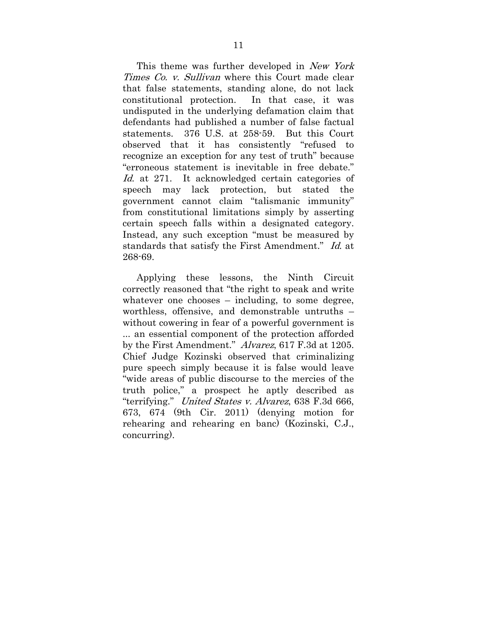This theme was further developed in New York Times Co. v. Sullivan where this Court made clear that false statements, standing alone, do not lack constitutional protection. In that case, it was undisputed in the underlying defamation claim that defendants had published a number of false factual statements. 376 U.S. at 258-59. But this Court observed that it has consistently "refused to recognize an exception for any test of truth" because "erroneous statement is inevitable in free debate." Id. at 271. It acknowledged certain categories of speech may lack protection, but stated the government cannot claim "talismanic immunity" from constitutional limitations simply by asserting certain speech falls within a designated category. Instead, any such exception "must be measured by standards that satisfy the First Amendment." Id. at 268-69.

Applying these lessons, the Ninth Circuit correctly reasoned that "the right to speak and write whatever one chooses – including, to some degree, worthless, offensive, and demonstrable untruths – without cowering in fear of a powerful government is ... an essential component of the protection afforded by the First Amendment." Alvarez, 617 F.3d at 1205. Chief Judge Kozinski observed that criminalizing pure speech simply because it is false would leave "wide areas of public discourse to the mercies of the truth police," a prospect he aptly described as "terrifying." United States v. Alvarez, 638 F.3d 666, 673, 674 (9th Cir. 2011) (denying motion for rehearing and rehearing en banc) (Kozinski, C.J., concurring).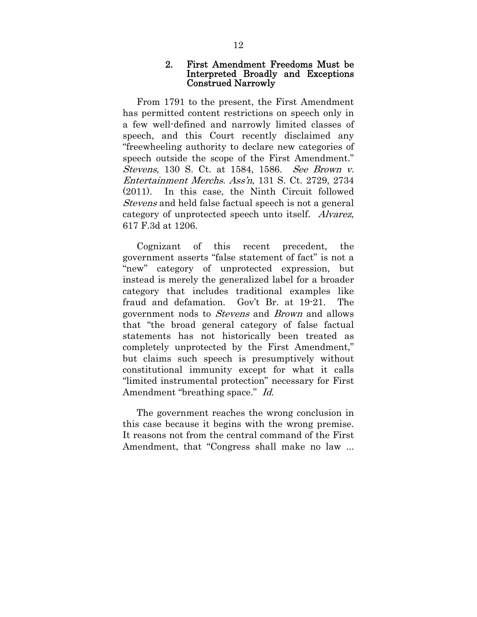#### 2. First Amendment Freedoms Must be Interpreted Broadly and Exceptions Construed Narrowly

From 1791 to the present, the First Amendment has permitted content restrictions on speech only in a few well-defined and narrowly limited classes of speech, and this Court recently disclaimed any "freewheeling authority to declare new categories of speech outside the scope of the First Amendment." Stevens, 130 S. Ct. at 1584, 1586. See Brown v. Entertainment Merchs. Ass'n, 131 S. Ct. 2729, 2734 (2011). In this case, the Ninth Circuit followed Stevens and held false factual speech is not a general category of unprotected speech unto itself. Alvarez, 617 F.3d at 1206.

Cognizant of this recent precedent, the government asserts "false statement of fact" is not a "new" category of unprotected expression, but instead is merely the generalized label for a broader category that includes traditional examples like fraud and defamation. Gov't Br. at 19-21. The government nods to Stevens and Brown and allows that "the broad general category of false factual statements has not historically been treated as completely unprotected by the First Amendment," but claims such speech is presumptively without constitutional immunity except for what it calls "limited instrumental protection" necessary for First Amendment "breathing space." Id.

The government reaches the wrong conclusion in this case because it begins with the wrong premise. It reasons not from the central command of the First Amendment, that "Congress shall make no law ...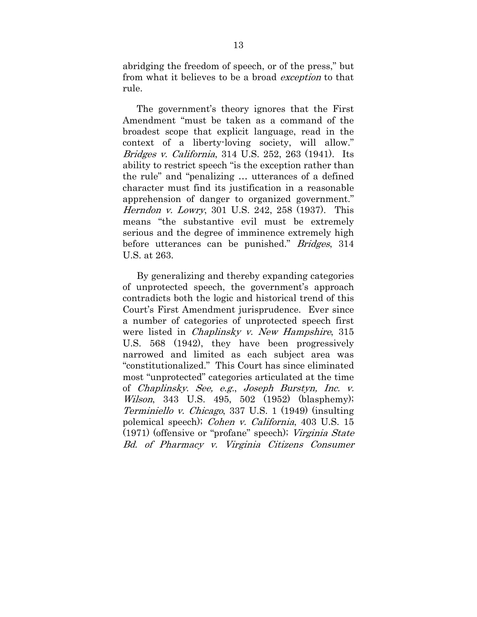abridging the freedom of speech, or of the press," but from what it believes to be a broad exception to that rule.

The government's theory ignores that the First Amendment "must be taken as a command of the broadest scope that explicit language, read in the context of a liberty-loving society, will allow." Bridges v. California, 314 U.S. 252, 263 (1941). Its ability to restrict speech "is the exception rather than the rule" and "penalizing … utterances of a defined character must find its justification in a reasonable apprehension of danger to organized government." Herndon v. Lowry, 301 U.S. 242, 258 (1937). This means "the substantive evil must be extremely serious and the degree of imminence extremely high before utterances can be punished." Bridges, 314 U.S. at 263.

By generalizing and thereby expanding categories of unprotected speech, the government's approach contradicts both the logic and historical trend of this Court's First Amendment jurisprudence. Ever since a number of categories of unprotected speech first were listed in *Chaplinsky v. New Hampshire*, 315 U.S. 568 (1942), they have been progressively narrowed and limited as each subject area was "constitutionalized." This Court has since eliminated most "unprotected" categories articulated at the time of Chaplinsky. See, e.g., Joseph Burstyn, Inc. v. Wilson, 343 U.S. 495, 502 (1952) (blasphemy); Terminiello v. Chicago, 337 U.S. 1 (1949) (insulting polemical speech); Cohen v. California, 403 U.S. 15 (1971) (offensive or "profane" speech); Virginia State Bd. of Pharmacy v. Virginia Citizens Consumer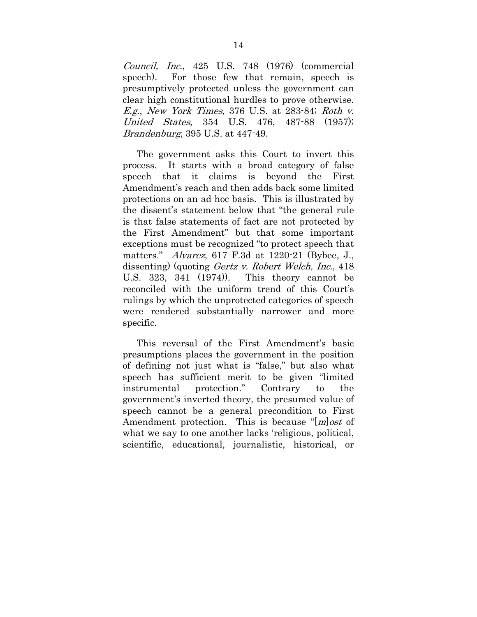Council, Inc., 425 U.S. 748 (1976) (commercial speech). For those few that remain, speech is presumptively protected unless the government can clear high constitutional hurdles to prove otherwise.  $E.g., New York Times, 376 U.S. at 283-84; Roth v.$ United States, 354 U.S. 476, 487-88 (1957); Brandenburg, 395 U.S. at 447-49.

The government asks this Court to invert this process. It starts with a broad category of false speech that it claims is beyond the First Amendment's reach and then adds back some limited protections on an ad hoc basis. This is illustrated by the dissent's statement below that "the general rule is that false statements of fact are not protected by the First Amendment" but that some important exceptions must be recognized "to protect speech that matters." Alvarez, 617 F.3d at 1220-21 (Bybee, J., dissenting) (quoting *Gertz v. Robert Welch, Inc.*, 418 U.S. 323, 341 (1974)). This theory cannot be reconciled with the uniform trend of this Court's rulings by which the unprotected categories of speech were rendered substantially narrower and more specific.

This reversal of the First Amendment's basic presumptions places the government in the position of defining not just what is "false," but also what speech has sufficient merit to be given "limited instrumental protection." Contrary to the government's inverted theory, the presumed value of speech cannot be a general precondition to First Amendment protection. This is because "[*m*] *ost* of what we say to one another lacks 'religious, political, scientific, educational, journalistic, historical, or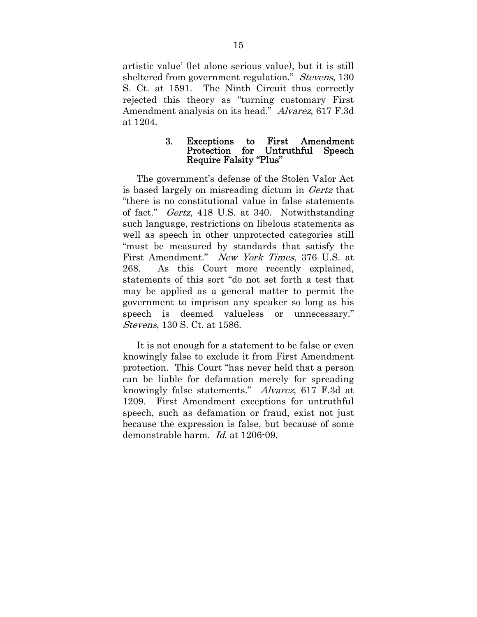artistic value' (let alone serious value), but it is still sheltered from government regulation." *Stevens*, 130 S. Ct. at 1591. The Ninth Circuit thus correctly rejected this theory as "turning customary First Amendment analysis on its head." Alvarez, 617 F.3d at 1204.

#### 3. Exceptions to First Amendment Protection for Untruthful Speech Require Falsity "Plus"

The government's defense of the Stolen Valor Act is based largely on misreading dictum in Gertz that "there is no constitutional value in false statements of fact." Gertz, 418 U.S. at 340. Notwithstanding such language, restrictions on libelous statements as well as speech in other unprotected categories still "must be measured by standards that satisfy the First Amendment." New York Times, 376 U.S. at 268. As this Court more recently explained, statements of this sort "do not set forth a test that may be applied as a general matter to permit the government to imprison any speaker so long as his speech is deemed valueless or unnecessary." Stevens, 130 S. Ct. at 1586.

It is not enough for a statement to be false or even knowingly false to exclude it from First Amendment protection. This Court "has never held that a person can be liable for defamation merely for spreading knowingly false statements." Alvarez, 617 F.3d at 1209. First Amendment exceptions for untruthful speech, such as defamation or fraud, exist not just because the expression is false, but because of some demonstrable harm. Id. at 1206-09.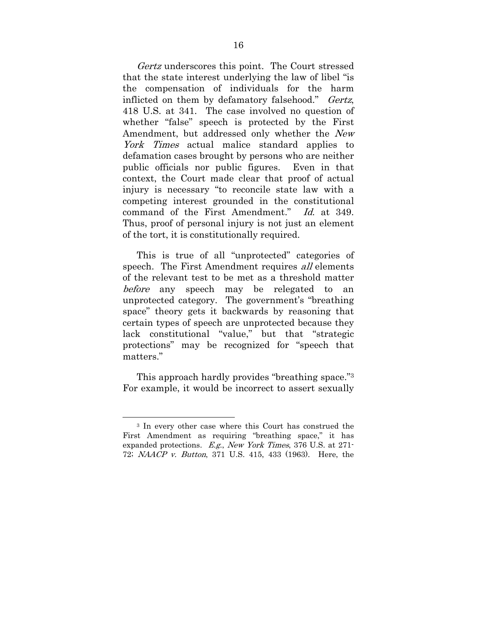Gertz underscores this point. The Court stressed that the state interest underlying the law of libel "is the compensation of individuals for the harm inflicted on them by defamatory falsehood." Gertz, 418 U.S. at 341. The case involved no question of whether "false" speech is protected by the First Amendment, but addressed only whether the New York Times actual malice standard applies to defamation cases brought by persons who are neither public officials nor public figures. Even in that context, the Court made clear that proof of actual injury is necessary "to reconcile state law with a competing interest grounded in the constitutional command of the First Amendment." Id. at 349. Thus, proof of personal injury is not just an element of the tort, it is constitutionally required.

This is true of all "unprotected" categories of speech. The First Amendment requires *all* elements of the relevant test to be met as a threshold matter before any speech may be relegated to an unprotected category. The government's "breathing space" theory gets it backwards by reasoning that certain types of speech are unprotected because they lack constitutional "value," but that "strategic protections" may be recognized for "speech that matters."

This approach hardly provides "breathing space."3 For example, it would be incorrect to assert sexually

 $\overline{a}$ 

<sup>3</sup> In every other case where this Court has construed the First Amendment as requiring "breathing space," it has expanded protections. E.g., New York Times, 376 U.S. at 271- 72; NAACP v. Button, 371 U.S. 415, 433 (1963). Here, the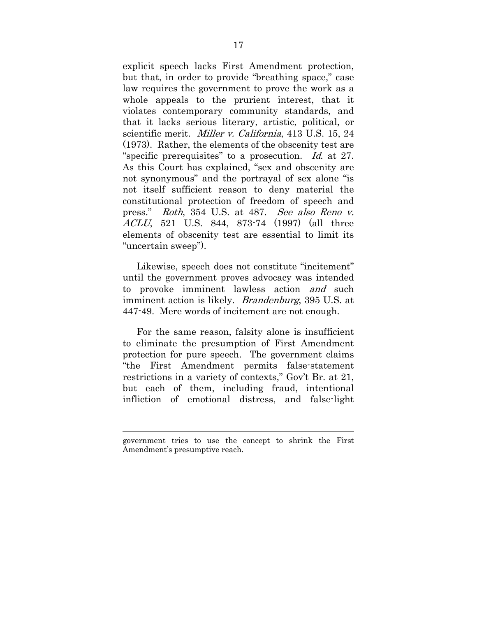explicit speech lacks First Amendment protection, but that, in order to provide "breathing space," case law requires the government to prove the work as a whole appeals to the prurient interest, that it violates contemporary community standards, and that it lacks serious literary, artistic, political, or scientific merit. Miller v. California, 413 U.S. 15, 24 (1973). Rather, the elements of the obscenity test are "specific prerequisites" to a prosecution. Id. at 27. As this Court has explained, "sex and obscenity are not synonymous" and the portrayal of sex alone "is not itself sufficient reason to deny material the constitutional protection of freedom of speech and press." Roth, 354 U.S. at 487. See also Reno v. ACLU, 521 U.S. 844, 873-74 (1997) (all three elements of obscenity test are essential to limit its "uncertain sweep").

Likewise, speech does not constitute "incitement" until the government proves advocacy was intended to provoke imminent lawless action *and* such imminent action is likely. *Brandenburg*, 395 U.S. at 447-49. Mere words of incitement are not enough.

For the same reason, falsity alone is insufficient to eliminate the presumption of First Amendment protection for pure speech. The government claims "the First Amendment permits false-statement restrictions in a variety of contexts," Gov't Br. at 21, but each of them, including fraud, intentional infliction of emotional distress, and false-light

 $\overline{a}$ 

government tries to use the concept to shrink the First Amendment's presumptive reach.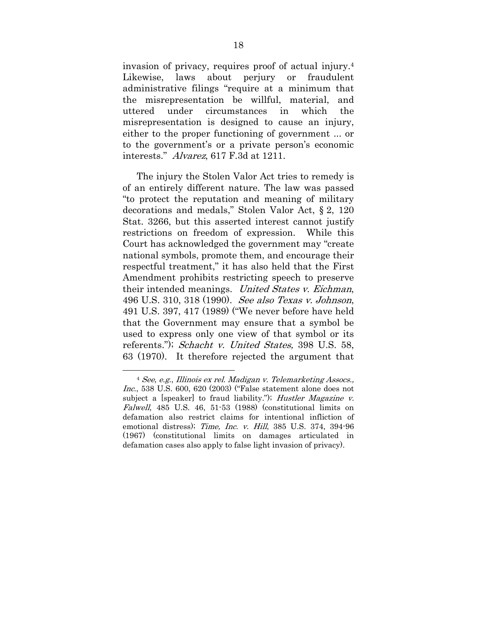invasion of privacy, requires proof of actual injury.4 Likewise, laws about perjury or fraudulent administrative filings "require at a minimum that the misrepresentation be willful, material, and uttered under circumstances in which the misrepresentation is designed to cause an injury, either to the proper functioning of government ... or to the government's or a private person's economic interests." Alvarez, 617 F.3d at 1211.

The injury the Stolen Valor Act tries to remedy is of an entirely different nature. The law was passed "to protect the reputation and meaning of military decorations and medals," Stolen Valor Act, § 2, 120 Stat. 3266, but this asserted interest cannot justify restrictions on freedom of expression. While this Court has acknowledged the government may "create national symbols, promote them, and encourage their respectful treatment," it has also held that the First Amendment prohibits restricting speech to preserve their intended meanings. United States v. Eichman, 496 U.S. 310, 318 (1990). See also Texas v. Johnson, 491 U.S. 397, 417 (1989) ("We never before have held that the Government may ensure that a symbol be used to express only one view of that symbol or its referents."); Schacht v. United States, 398 U.S. 58, 63 (1970). It therefore rejected the argument that

 <sup>4</sup> See, e.g., Illinois ex rel. Madigan v. Telemarketing Assocs., Inc., 538 U.S. 600, 620 (2003) ("False statement alone does not subject a [speaker] to fraud liability."); Hustler Magazine v. Falwell, 485 U.S. 46, 51-53 (1988) (constitutional limits on defamation also restrict claims for intentional infliction of emotional distress); Time, Inc. v. Hill, 385 U.S. 374, 394-96 (1967) (constitutional limits on damages articulated in defamation cases also apply to false light invasion of privacy).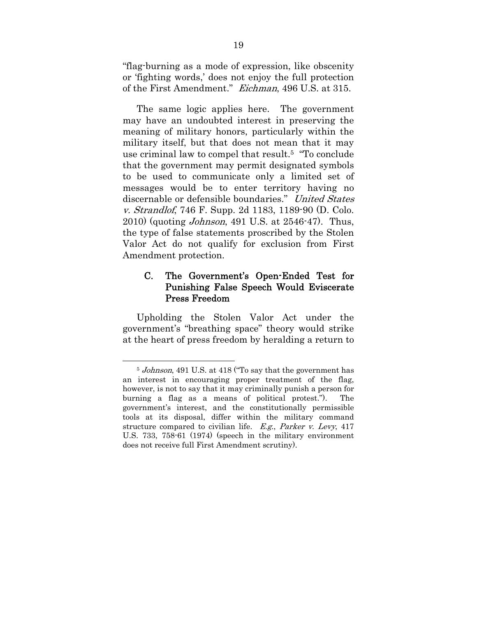"flag-burning as a mode of expression, like obscenity or 'fighting words,' does not enjoy the full protection of the First Amendment." Eichman, 496 U.S. at 315.

The same logic applies here. The government may have an undoubted interest in preserving the meaning of military honors, particularly within the military itself, but that does not mean that it may use criminal law to compel that result.5 "To conclude that the government may permit designated symbols to be used to communicate only a limited set of messages would be to enter territory having no discernable or defensible boundaries." United States v. Strandlof, 746 F. Supp. 2d 1183, 1189-90 (D. Colo. 2010) (quoting Johnson, 491 U.S. at 2546-47). Thus, the type of false statements proscribed by the Stolen Valor Act do not qualify for exclusion from First Amendment protection.

## C. The Government's Open-Ended Test for Punishing False Speech Would Eviscerate Press Freedom

Upholding the Stolen Valor Act under the government's "breathing space" theory would strike at the heart of press freedom by heralding a return to

<sup>&</sup>lt;sup>5</sup> Johnson, 491 U.S. at 418 ("To say that the government has an interest in encouraging proper treatment of the flag, however, is not to say that it may criminally punish a person for burning a flag as a means of political protest."). The government's interest, and the constitutionally permissible tools at its disposal, differ within the military command structure compared to civilian life.  $E.g., Parker \, v. \, Levy, 417$ U.S. 733, 758-61 (1974) (speech in the military environment does not receive full First Amendment scrutiny).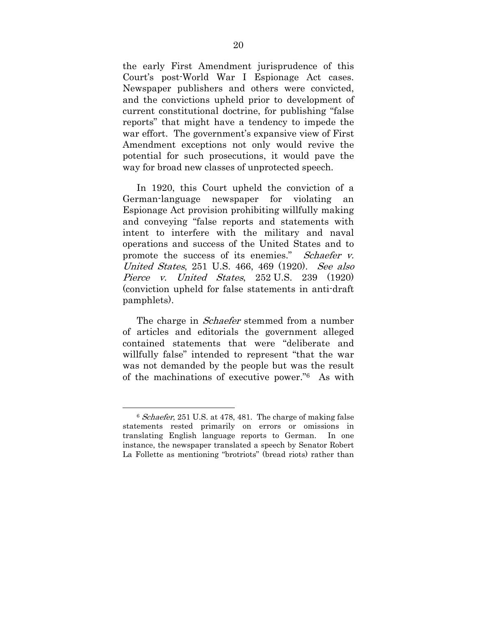the early First Amendment jurisprudence of this Court's post-World War I Espionage Act cases. Newspaper publishers and others were convicted, and the convictions upheld prior to development of current constitutional doctrine, for publishing "false reports" that might have a tendency to impede the war effort. The government's expansive view of First Amendment exceptions not only would revive the potential for such prosecutions, it would pave the way for broad new classes of unprotected speech.

In 1920, this Court upheld the conviction of a German-language newspaper for violating an Espionage Act provision prohibiting willfully making and conveying "false reports and statements with intent to interfere with the military and naval operations and success of the United States and to promote the success of its enemies." *Schaefer v.* United States, 251 U.S. 466, 469 (1920). See also Pierce v. United States, 252 U.S. 239 (1920) (conviction upheld for false statements in anti-draft pamphlets).

The charge in *Schaefer* stemmed from a number of articles and editorials the government alleged contained statements that were "deliberate and willfully false" intended to represent "that the war was not demanded by the people but was the result of the machinations of executive power."6 As with

 <sup>6</sup> Schaefer, 251 U.S. at 478, 481. The charge of making false statements rested primarily on errors or omissions in translating English language reports to German. In one instance, the newspaper translated a speech by Senator Robert La Follette as mentioning "brotriots" (bread riots) rather than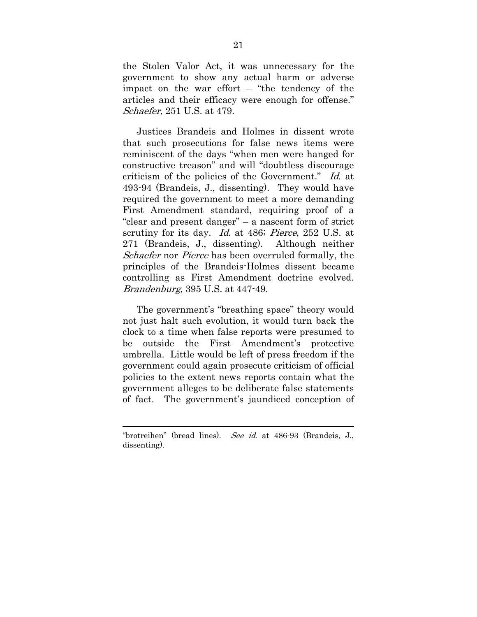the Stolen Valor Act, it was unnecessary for the government to show any actual harm or adverse impact on the war effort – "the tendency of the articles and their efficacy were enough for offense." Schaefer, 251 U.S. at 479.

Justices Brandeis and Holmes in dissent wrote that such prosecutions for false news items were reminiscent of the days "when men were hanged for constructive treason" and will "doubtless discourage criticism of the policies of the Government." Id. at 493-94 (Brandeis, J., dissenting). They would have required the government to meet a more demanding First Amendment standard, requiring proof of a "clear and present danger" – a nascent form of strict scrutiny for its day. *Id.* at 486; *Pierce*, 252 U.S. at 271 (Brandeis, J., dissenting). Although neither Schaefer nor *Pierce* has been overruled formally, the principles of the Brandeis-Holmes dissent became controlling as First Amendment doctrine evolved. Brandenburg, 395 U.S. at 447-49.

The government's "breathing space" theory would not just halt such evolution, it would turn back the clock to a time when false reports were presumed to be outside the First Amendment's protective umbrella. Little would be left of press freedom if the government could again prosecute criticism of official policies to the extent news reports contain what the government alleges to be deliberate false statements of fact. The government's jaundiced conception of

 $\overline{a}$ 

<sup>&</sup>quot;brotreihen" (bread lines). See id. at 486-93 (Brandeis, J., dissenting).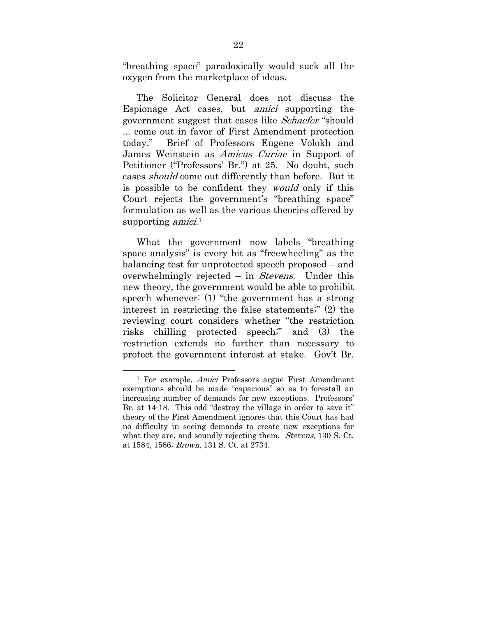"breathing space" paradoxically would suck all the oxygen from the marketplace of ideas.

The Solicitor General does not discuss the Espionage Act cases, but amici supporting the government suggest that cases like Schaefer "should ... come out in favor of First Amendment protection today." Brief of Professors Eugene Volokh and James Weinstein as Amicus Curiae in Support of Petitioner ("Professors' Br.") at 25. No doubt, such cases should come out differently than before. But it is possible to be confident they would only if this Court rejects the government's "breathing space" formulation as well as the various theories offered by supporting *amici*.<sup>7</sup>

What the government now labels "breathing space analysis" is every bit as "freewheeling" as the balancing test for unprotected speech proposed – and overwhelmingly rejected – in Stevens. Under this new theory, the government would be able to prohibit speech whenever: (1) "the government has a strong interest in restricting the false statements;" (2) the reviewing court considers whether "the restriction risks chilling protected speech;" and (3) the restriction extends no further than necessary to protect the government interest at stake. Gov't Br.

 <sup>7</sup> For example, Amici Professors argue First Amendment exemptions should be made "capacious" so as to forestall an increasing number of demands for new exceptions. Professors' Br. at 14-18. This odd "destroy the village in order to save it" theory of the First Amendment ignores that this Court has had no difficulty in seeing demands to create new exceptions for what they are, and soundly rejecting them. *Stevens*, 130 S. Ct. at 1584, 1586; Brown, 131 S. Ct. at 2734.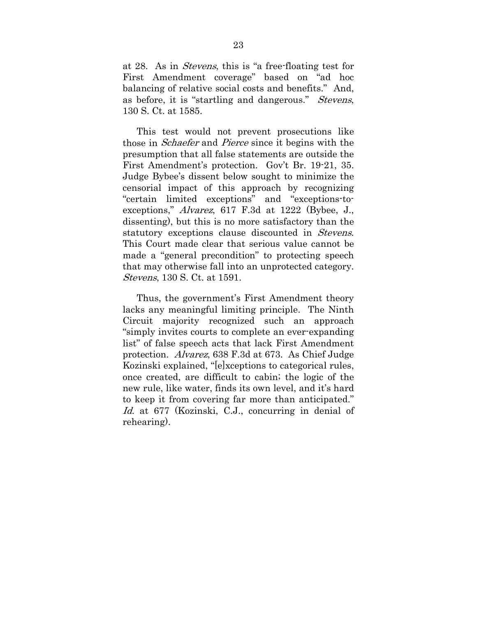at 28. As in Stevens, this is "a free-floating test for First Amendment coverage" based on "ad hoc balancing of relative social costs and benefits." And, as before, it is "startling and dangerous." Stevens, 130 S. Ct. at 1585.

This test would not prevent prosecutions like those in Schaefer and Pierce since it begins with the presumption that all false statements are outside the First Amendment's protection. Gov't Br. 19-21, 35. Judge Bybee's dissent below sought to minimize the censorial impact of this approach by recognizing "certain limited exceptions" and "exceptions-toexceptions," Alvarez, 617 F.3d at 1222 (Bybee, J., dissenting), but this is no more satisfactory than the statutory exceptions clause discounted in *Stevens*. This Court made clear that serious value cannot be made a "general precondition" to protecting speech that may otherwise fall into an unprotected category. Stevens, 130 S. Ct. at 1591.

Thus, the government's First Amendment theory lacks any meaningful limiting principle. The Ninth Circuit majority recognized such an approach "simply invites courts to complete an ever-expanding list" of false speech acts that lack First Amendment protection. Alvarez, 638 F.3d at 673. As Chief Judge Kozinski explained, "[e]xceptions to categorical rules, once created, are difficult to cabin; the logic of the new rule, like water, finds its own level, and it's hard to keep it from covering far more than anticipated." Id. at 677 (Kozinski, C.J., concurring in denial of rehearing).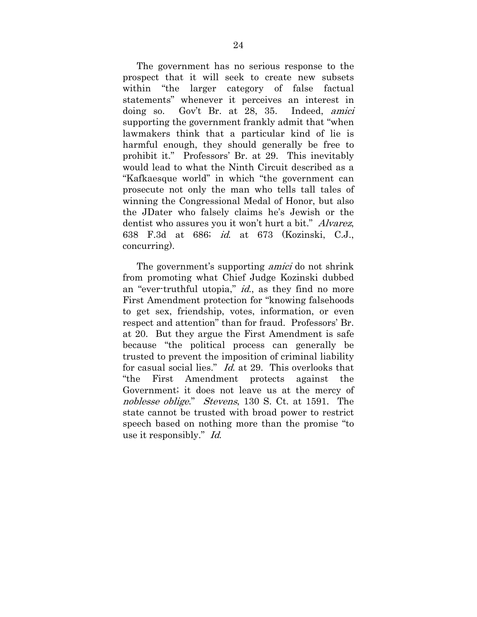The government has no serious response to the prospect that it will seek to create new subsets within "the larger category of false factual statements" whenever it perceives an interest in doing so. Gov't Br. at 28, 35. Indeed, amici supporting the government frankly admit that "when lawmakers think that a particular kind of lie is harmful enough, they should generally be free to prohibit it." Professors' Br. at 29. This inevitably would lead to what the Ninth Circuit described as a "Kafkaesque world" in which "the government can prosecute not only the man who tells tall tales of winning the Congressional Medal of Honor, but also the JDater who falsely claims he's Jewish or the dentist who assures you it won't hurt a bit." *Alvarez*, 638 F.3d at 686; id. at 673 (Kozinski, C.J., concurring).

The government's supporting *amici* do not shrink from promoting what Chief Judge Kozinski dubbed an "ever-truthful utopia," id., as they find no more First Amendment protection for "knowing falsehoods to get sex, friendship, votes, information, or even respect and attention" than for fraud. Professors' Br. at 20. But they argue the First Amendment is safe because "the political process can generally be trusted to prevent the imposition of criminal liability for casual social lies." *Id.* at 29. This overlooks that "the First Amendment protects against the Government; it does not leave us at the mercy of noblesse oblige." Stevens, 130 S. Ct. at 1591. The state cannot be trusted with broad power to restrict speech based on nothing more than the promise "to use it responsibly." Id.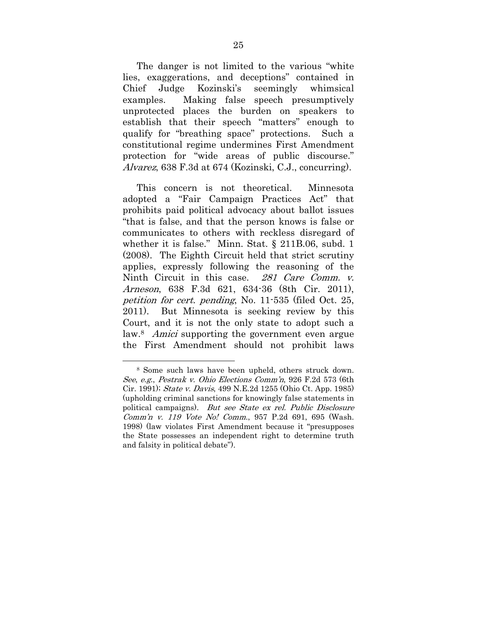The danger is not limited to the various "white lies, exaggerations, and deceptions" contained in Chief Judge Kozinski's seemingly whimsical examples. Making false speech presumptively unprotected places the burden on speakers to establish that their speech "matters" enough to qualify for "breathing space" protections. Such a constitutional regime undermines First Amendment protection for "wide areas of public discourse." Alvarez, 638 F.3d at 674 (Kozinski, C.J., concurring).

This concern is not theoretical. Minnesota adopted a "Fair Campaign Practices Act" that prohibits paid political advocacy about ballot issues "that is false, and that the person knows is false or communicates to others with reckless disregard of whether it is false." Minn. Stat. § 211B.06, subd. 1 (2008). The Eighth Circuit held that strict scrutiny applies, expressly following the reasoning of the Ninth Circuit in this case. 281 Care Comm. v. Arneson, 638 F.3d 621, 634-36 (8th Cir. 2011), petition for cert. pending, No. 11-535 (filed Oct. 25, 2011). But Minnesota is seeking review by this Court, and it is not the only state to adopt such a law.<sup>8</sup> Amici supporting the government even argue the First Amendment should not prohibit laws

 <sup>8</sup> Some such laws have been upheld, others struck down. See, e.g., Pestrak v. Ohio Elections Comm'n, 926 F.2d 573 (6th Cir. 1991); State v. Davis, 499 N.E.2d 1255 (Ohio Ct. App. 1985) (upholding criminal sanctions for knowingly false statements in political campaigns). But see State ex rel. Public Disclosure Comm'n v. 119 Vote No! Comm., 957 P.2d 691, 695 (Wash. 1998) (law violates First Amendment because it "presupposes the State possesses an independent right to determine truth and falsity in political debate").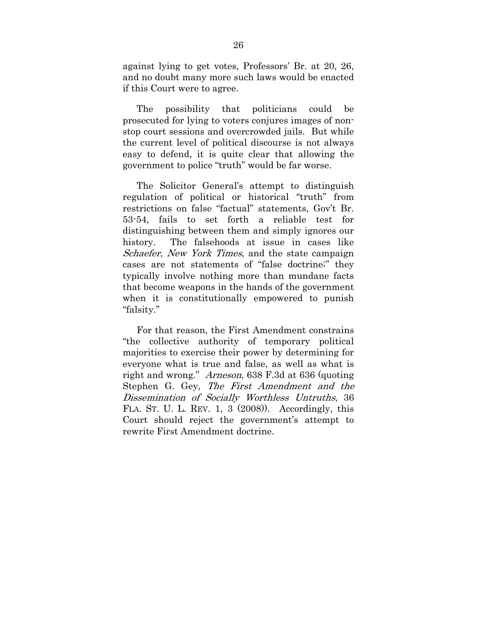against lying to get votes, Professors' Br. at 20, 26, and no doubt many more such laws would be enacted if this Court were to agree.

The possibility that politicians could be prosecuted for lying to voters conjures images of nonstop court sessions and overcrowded jails. But while the current level of political discourse is not always easy to defend, it is quite clear that allowing the government to police "truth" would be far worse.

The Solicitor General's attempt to distinguish regulation of political or historical "truth" from restrictions on false "factual" statements, Gov't Br. 53-54, fails to set forth a reliable test for distinguishing between them and simply ignores our history. The falsehoods at issue in cases like Schaefer, New York Times, and the state campaign cases are not statements of "false doctrine;" they typically involve nothing more than mundane facts that become weapons in the hands of the government when it is constitutionally empowered to punish "falsity."

For that reason, the First Amendment constrains "the collective authority of temporary political majorities to exercise their power by determining for everyone what is true and false, as well as what is right and wrong." Arneson, 638 F.3d at 636 (quoting Stephen G. Gey, The First Amendment and the Dissemination of Socially Worthless Untruths, 36 FLA. ST. U. L. REV. 1, 3 (2008)). Accordingly, this Court should reject the government's attempt to rewrite First Amendment doctrine.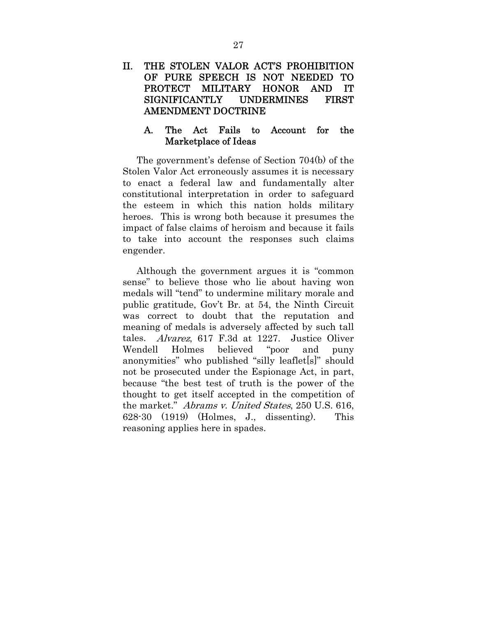## II. THE STOLEN VALOR ACT'S PROHIBITION OF PURE SPEECH IS NOT NEEDED TO PROTECT MILITARY HONOR AND IT SIGNIFICANTLY UNDERMINES FIRST AMENDMENT DOCTRINE

### A. The Act Fails to Account for the Marketplace of Ideas

The government's defense of Section 704(b) of the Stolen Valor Act erroneously assumes it is necessary to enact a federal law and fundamentally alter constitutional interpretation in order to safeguard the esteem in which this nation holds military heroes. This is wrong both because it presumes the impact of false claims of heroism and because it fails to take into account the responses such claims engender.

Although the government argues it is "common sense" to believe those who lie about having won medals will "tend" to undermine military morale and public gratitude, Gov't Br. at 54, the Ninth Circuit was correct to doubt that the reputation and meaning of medals is adversely affected by such tall tales. Alvarez, 617 F.3d at 1227. Justice Oliver Wendell Holmes believed "poor and puny anonymities" who published "silly leaflet[s]" should not be prosecuted under the Espionage Act, in part, because "the best test of truth is the power of the thought to get itself accepted in the competition of the market." Abrams v. United States, 250 U.S. 616, 628-30 (1919) (Holmes, J., dissenting). This reasoning applies here in spades.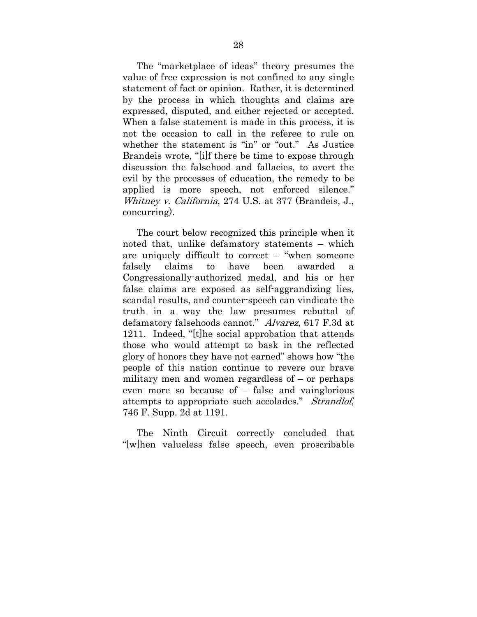The "marketplace of ideas" theory presumes the value of free expression is not confined to any single statement of fact or opinion. Rather, it is determined by the process in which thoughts and claims are expressed, disputed, and either rejected or accepted. When a false statement is made in this process, it is not the occasion to call in the referee to rule on whether the statement is "in" or "out." As Justice Brandeis wrote, "[i]f there be time to expose through discussion the falsehood and fallacies, to avert the evil by the processes of education, the remedy to be applied is more speech, not enforced silence." Whitney v. California, 274 U.S. at 377 (Brandeis, J., concurring).

The court below recognized this principle when it noted that, unlike defamatory statements – which are uniquely difficult to correct – "when someone falsely claims to have been awarded a Congressionally-authorized medal, and his or her false claims are exposed as self-aggrandizing lies, scandal results, and counter-speech can vindicate the truth in a way the law presumes rebuttal of defamatory falsehoods cannot." Alvarez, 617 F.3d at 1211. Indeed, "[t]he social approbation that attends those who would attempt to bask in the reflected glory of honors they have not earned" shows how "the people of this nation continue to revere our brave military men and women regardless of – or perhaps even more so because of – false and vainglorious attempts to appropriate such accolades." Strandlof, 746 F. Supp. 2d at 1191.

The Ninth Circuit correctly concluded that "[w]hen valueless false speech, even proscribable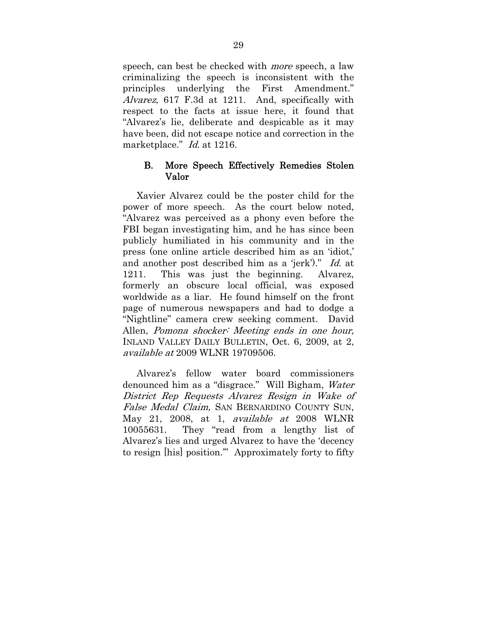speech, can best be checked with more speech, a law criminalizing the speech is inconsistent with the principles underlying the First Amendment." Alvarez, 617 F.3d at 1211. And, specifically with respect to the facts at issue here, it found that "Alvarez's lie, deliberate and despicable as it may have been, did not escape notice and correction in the marketplace." *Id.* at 1216.

### B. More Speech Effectively Remedies Stolen Valor

Xavier Alvarez could be the poster child for the power of more speech. As the court below noted, "Alvarez was perceived as a phony even before the FBI began investigating him, and he has since been publicly humiliated in his community and in the press (one online article described him as an 'idiot,' and another post described him as a 'jerk')." Id. at 1211. This was just the beginning. Alvarez, formerly an obscure local official, was exposed worldwide as a liar. He found himself on the front page of numerous newspapers and had to dodge a "Nightline" camera crew seeking comment. David Allen, Pomona shocker: Meeting ends in one hour, INLAND VALLEY DAILY BULLETIN, Oct. 6, 2009, at 2, available at 2009 WLNR 19709506.

Alvarez's fellow water board commissioners denounced him as a "disgrace." Will Bigham, Water District Rep Requests Alvarez Resign in Wake of False Medal Claim, SAN BERNARDINO COUNTY SUN, May 21, 2008, at 1, available at 2008 WLNR 10055631. They "read from a lengthy list of Alvarez's lies and urged Alvarez to have the 'decency to resign [his] position.'" Approximately forty to fifty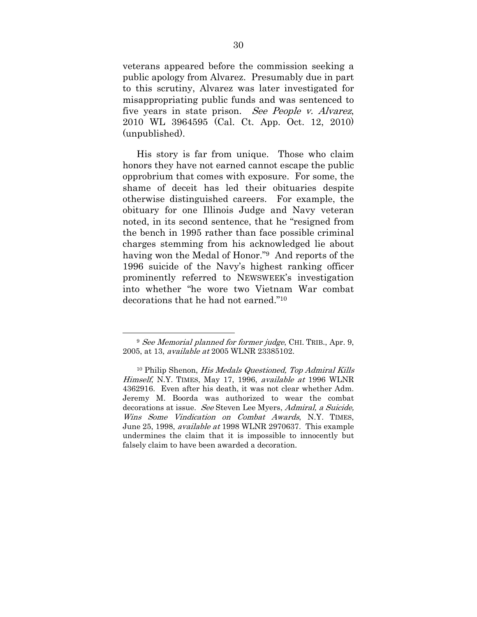veterans appeared before the commission seeking a public apology from Alvarez. Presumably due in part to this scrutiny, Alvarez was later investigated for misappropriating public funds and was sentenced to five years in state prison. See People v. Alvarez, 2010 WL 3964595 (Cal. Ct. App. Oct. 12, 2010) (unpublished).

His story is far from unique. Those who claim honors they have not earned cannot escape the public opprobrium that comes with exposure. For some, the shame of deceit has led their obituaries despite otherwise distinguished careers. For example, the obituary for one Illinois Judge and Navy veteran noted, in its second sentence, that he "resigned from the bench in 1995 rather than face possible criminal charges stemming from his acknowledged lie about having won the Medal of Honor."9 And reports of the 1996 suicide of the Navy's highest ranking officer prominently referred to NEWSWEEK's investigation into whether "he wore two Vietnam War combat decorations that he had not earned."10

<sup>&</sup>lt;sup>9</sup> See Memorial planned for former judge, CHI. TRIB., Apr. 9, 2005, at 13, available at 2005 WLNR 23385102.

<sup>10</sup> Philip Shenon, His Medals Questioned, Top Admiral Kills Himself, N.Y. TIMES, May 17, 1996, available at 1996 WLNR 4362916. Even after his death, it was not clear whether Adm. Jeremy M. Boorda was authorized to wear the combat decorations at issue. See Steven Lee Myers, Admiral, a Suicide, Wins Some Vindication on Combat Awards, N.Y. TIMES, June 25, 1998, available at 1998 WLNR 2970637. This example undermines the claim that it is impossible to innocently but falsely claim to have been awarded a decoration.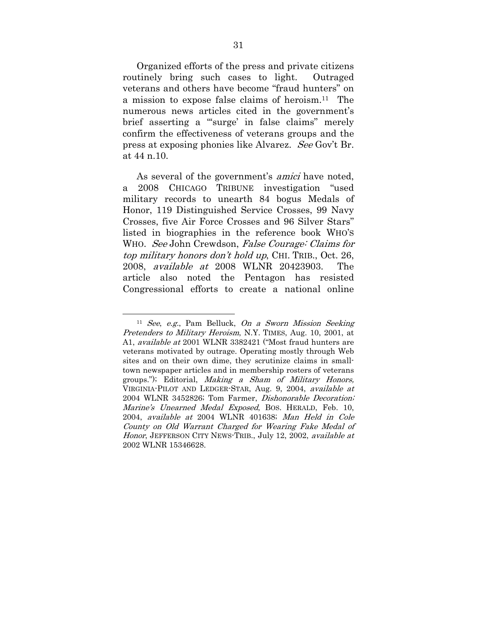Organized efforts of the press and private citizens routinely bring such cases to light. Outraged veterans and others have become "fraud hunters" on a mission to expose false claims of heroism.11 The numerous news articles cited in the government's brief asserting a "'surge' in false claims" merely confirm the effectiveness of veterans groups and the press at exposing phonies like Alvarez. See Gov't Br. at 44 n.10.

As several of the government's *amici* have noted, a 2008 CHICAGO TRIBUNE investigation "used military records to unearth 84 bogus Medals of Honor, 119 Distinguished Service Crosses, 99 Navy Crosses, five Air Force Crosses and 96 Silver Stars" listed in biographies in the reference book WHO'S WHO. See John Crewdson, False Courage: Claims for top military honors don't hold up, CHI. TRIB., Oct. 26, 2008, available at 2008 WLNR 20423903. The article also noted the Pentagon has resisted Congressional efforts to create a national online

 $11$  See, e.g., Pam Belluck, On a Sworn Mission Seeking Pretenders to Military Heroism, N.Y. TIMES, Aug. 10, 2001, at A1, available at 2001 WLNR 3382421 ("Most fraud hunters are veterans motivated by outrage. Operating mostly through Web sites and on their own dime, they scrutinize claims in smalltown newspaper articles and in membership rosters of veterans groups."); Editorial, Making a Sham of Military Honors, VIRGINIA-PILOT AND LEDGER-STAR, Aug. 9, 2004, available at 2004 WLNR 3452826; Tom Farmer, Dishonorable Decoration; Marine's Unearned Medal Exposed, BOS. HERALD, Feb. 10, 2004, available at 2004 WLNR 401638; Man Held in Cole County on Old Warrant Charged for Wearing Fake Medal of Honor, JEFFERSON CITY NEWS-TRIB., July 12, 2002, available at 2002 WLNR 15346628.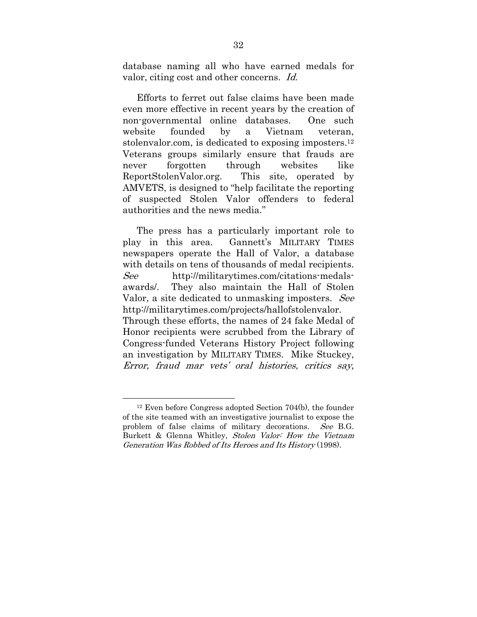database naming all who have earned medals for valor, citing cost and other concerns. Id.

Efforts to ferret out false claims have been made even more effective in recent years by the creation of non-governmental online databases. One such website founded by a Vietnam veteran, stolenvalor.com, is dedicated to exposing imposters.12 Veterans groups similarly ensure that frauds are never forgotten through websites like ReportStolenValor.org. This site, operated by AMVETS, is designed to "help facilitate the reporting of suspected Stolen Valor offenders to federal authorities and the news media."

The press has a particularly important role to play in this area. Gannett's MILITARY TIMES newspapers operate the Hall of Valor, a database with details on tens of thousands of medal recipients. See http://militarytimes.com/citations-medalsawards/. They also maintain the Hall of Stolen Valor, a site dedicated to unmasking imposters. See http://militarytimes.com/projects/hallofstolenvalor. Through these efforts, the names of 24 fake Medal of Honor recipients were scrubbed from the Library of Congress-funded Veterans History Project following an investigation by MILITARY TIMES. Mike Stuckey, Error, fraud mar vets' oral histories, critics say,

 <sup>12</sup> Even before Congress adopted Section 704(b), the founder of the site teamed with an investigative journalist to expose the problem of false claims of military decorations. See B.G. Burkett & Glenna Whitley, Stolen Valor: How the Vietnam Generation Was Robbed of Its Heroes and Its History (1998).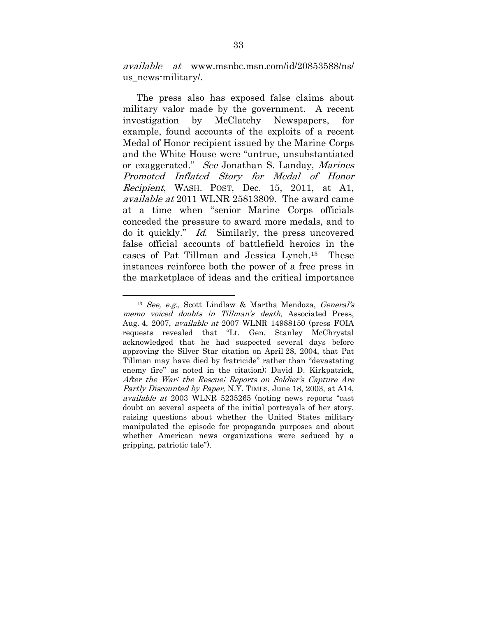available at www.msnbc.msn.com/id/20853588/ns/ us news-military/.

The press also has exposed false claims about military valor made by the government. A recent investigation by McClatchy Newspapers, for example, found accounts of the exploits of a recent Medal of Honor recipient issued by the Marine Corps and the White House were "untrue, unsubstantiated or exaggerated." See Jonathan S. Landay, Marines Promoted Inflated Story for Medal of Honor Recipient, WASH. POST, Dec. 15, 2011, at A1, available at 2011 WLNR 25813809. The award came at a time when "senior Marine Corps officials conceded the pressure to award more medals, and to do it quickly." Id. Similarly, the press uncovered false official accounts of battlefield heroics in the cases of Pat Tillman and Jessica Lynch.13 These instances reinforce both the power of a free press in the marketplace of ideas and the critical importance

<sup>&</sup>lt;sup>13</sup> See, e.g., Scott Lindlaw & Martha Mendoza, General's memo voiced doubts in Tillman's death, Associated Press, Aug. 4, 2007, available at 2007 WLNR 14988150 (press FOIA requests revealed that "Lt. Gen. Stanley McChrystal acknowledged that he had suspected several days before approving the Silver Star citation on April 28, 2004, that Pat Tillman may have died by fratricide" rather than "devastating enemy fire" as noted in the citation); David D. Kirkpatrick, After the War: the Rescue; Reports on Soldier's Capture Are Partly Discounted by Paper, N.Y. TIMES, June 18, 2003, at A14, available at 2003 WLNR 5235265 (noting news reports "cast doubt on several aspects of the initial portrayals of her story, raising questions about whether the United States military manipulated the episode for propaganda purposes and about whether American news organizations were seduced by a gripping, patriotic tale").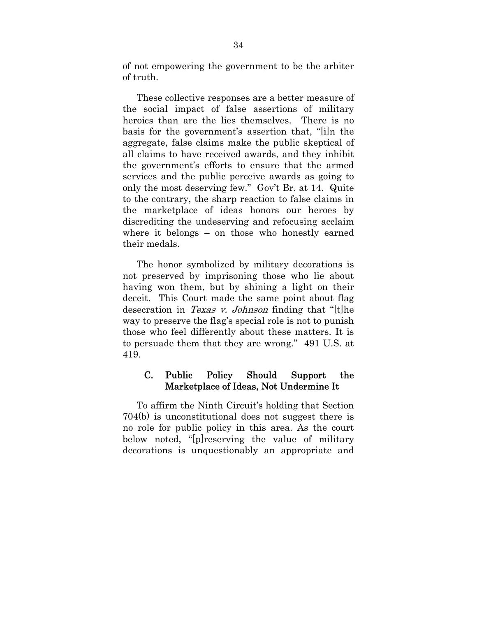of not empowering the government to be the arbiter of truth.

These collective responses are a better measure of the social impact of false assertions of military heroics than are the lies themselves. There is no basis for the government's assertion that, "[i]n the aggregate, false claims make the public skeptical of all claims to have received awards, and they inhibit the government's efforts to ensure that the armed services and the public perceive awards as going to only the most deserving few." Gov't Br. at 14. Quite to the contrary, the sharp reaction to false claims in the marketplace of ideas honors our heroes by discrediting the undeserving and refocusing acclaim where it belongs – on those who honestly earned their medals.

The honor symbolized by military decorations is not preserved by imprisoning those who lie about having won them, but by shining a light on their deceit. This Court made the same point about flag desecration in *Texas v. Johnson* finding that "[t]he way to preserve the flag's special role is not to punish those who feel differently about these matters. It is to persuade them that they are wrong." 491 U.S. at 419.

## C. Public Policy Should Support the Marketplace of Ideas, Not Undermine It

To affirm the Ninth Circuit's holding that Section 704(b) is unconstitutional does not suggest there is no role for public policy in this area. As the court below noted, "[p]reserving the value of military decorations is unquestionably an appropriate and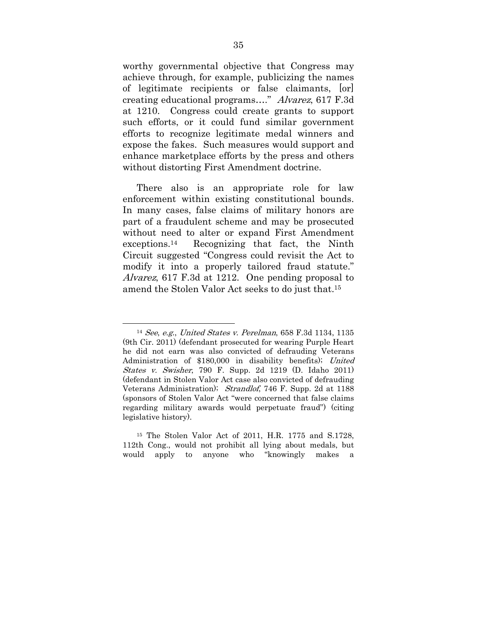worthy governmental objective that Congress may achieve through, for example, publicizing the names of legitimate recipients or false claimants, [or] creating educational programs…." Alvarez, 617 F.3d at 1210. Congress could create grants to support such efforts, or it could fund similar government efforts to recognize legitimate medal winners and expose the fakes. Such measures would support and enhance marketplace efforts by the press and others without distorting First Amendment doctrine.

There also is an appropriate role for law enforcement within existing constitutional bounds. In many cases, false claims of military honors are part of a fraudulent scheme and may be prosecuted without need to alter or expand First Amendment exceptions.14 Recognizing that fact, the Ninth Circuit suggested "Congress could revisit the Act to modify it into a properly tailored fraud statute." Alvarez, 617 F.3d at 1212. One pending proposal to amend the Stolen Valor Act seeks to do just that.15

 <sup>14</sup> See, e.g., United States v. Perelman, 658 F.3d 1134, 1135 (9th Cir. 2011) (defendant prosecuted for wearing Purple Heart he did not earn was also convicted of defrauding Veterans Administration of \$180,000 in disability benefits); United States v. Swisher, 790 F. Supp. 2d 1219 (D. Idaho 2011) (defendant in Stolen Valor Act case also convicted of defrauding Veterans Administration); Strandlof, 746 F. Supp. 2d at 1188 (sponsors of Stolen Valor Act "were concerned that false claims regarding military awards would perpetuate fraud") (citing legislative history).

<sup>15</sup> The Stolen Valor Act of 2011, H.R. 1775 and S.1728, 112th Cong., would not prohibit all lying about medals, but would apply to anyone who "knowingly makes a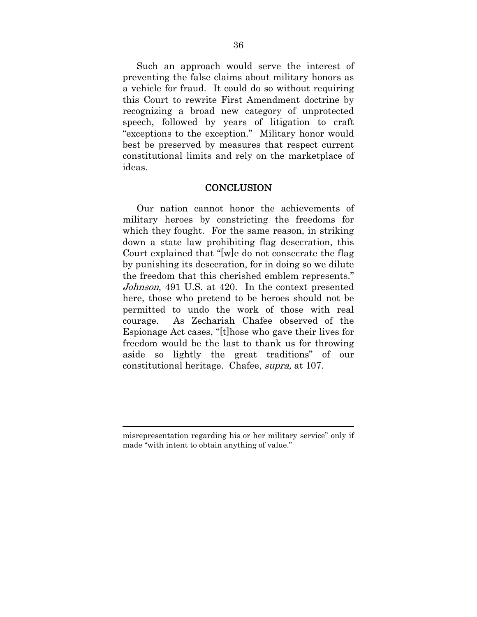Such an approach would serve the interest of preventing the false claims about military honors as a vehicle for fraud. It could do so without requiring this Court to rewrite First Amendment doctrine by recognizing a broad new category of unprotected speech, followed by years of litigation to craft "exceptions to the exception." Military honor would best be preserved by measures that respect current constitutional limits and rely on the marketplace of ideas.

#### **CONCLUSION**

Our nation cannot honor the achievements of military heroes by constricting the freedoms for which they fought. For the same reason, in striking down a state law prohibiting flag desecration, this Court explained that "[w]e do not consecrate the flag by punishing its desecration, for in doing so we dilute the freedom that this cherished emblem represents." Johnson, 491 U.S. at 420. In the context presented here, those who pretend to be heroes should not be permitted to undo the work of those with real courage. As Zechariah Chafee observed of the Espionage Act cases, "[t]hose who gave their lives for freedom would be the last to thank us for throwing aside so lightly the great traditions" of our constitutional heritage. Chafee, supra, at 107.

 $\overline{a}$ 

misrepresentation regarding his or her military service" only if made "with intent to obtain anything of value."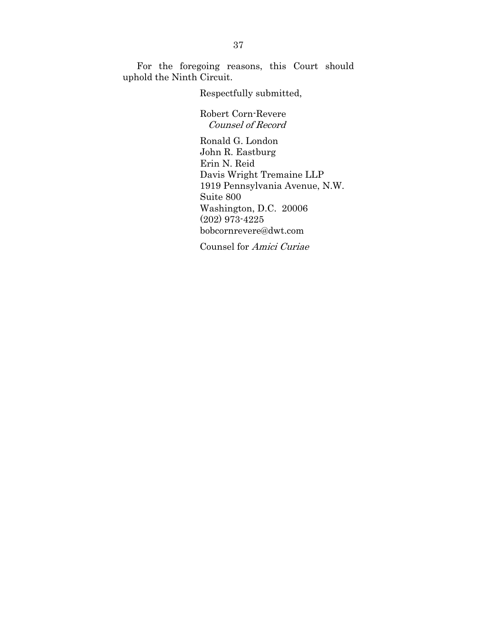For the foregoing reasons, this Court should uphold the Ninth Circuit.

Respectfully submitted,

Robert Corn-Revere Counsel of Record

Ronald G. London John R. Eastburg Erin N. Reid Davis Wright Tremaine LLP 1919 Pennsylvania Avenue, N.W. Suite 800 Washington, D.C. 20006 (202) 973-4225 bobcornrevere@dwt.com

Counsel for Amici Curiae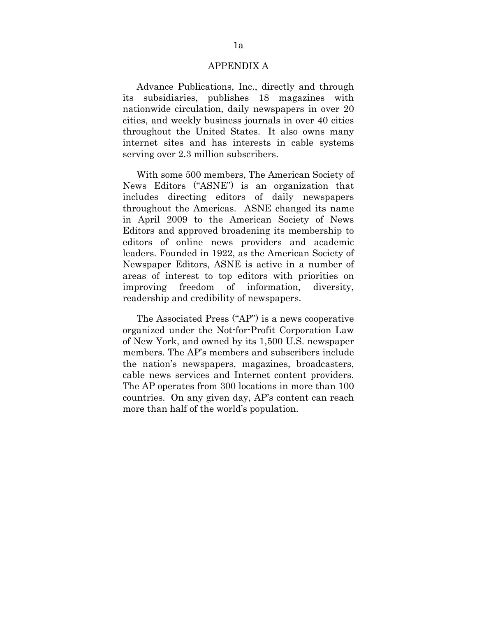#### APPENDIX A

Advance Publications, Inc., directly and through its subsidiaries, publishes 18 magazines with nationwide circulation, daily newspapers in over 20 cities, and weekly business journals in over 40 cities throughout the United States. It also owns many internet sites and has interests in cable systems serving over 2.3 million subscribers.

With some 500 members, The American Society of News Editors ("ASNE") is an organization that includes directing editors of daily newspapers throughout the Americas. ASNE changed its name in April 2009 to the American Society of News Editors and approved broadening its membership to editors of online news providers and academic leaders. Founded in 1922, as the American Society of Newspaper Editors, ASNE is active in a number of areas of interest to top editors with priorities on improving freedom of information, diversity, readership and credibility of newspapers.

The Associated Press ("AP") is a news cooperative organized under the Not-for-Profit Corporation Law of New York, and owned by its 1,500 U.S. newspaper members. The AP's members and subscribers include the nation's newspapers, magazines, broadcasters, cable news services and Internet content providers. The AP operates from 300 locations in more than 100 countries. On any given day, AP's content can reach more than half of the world's population.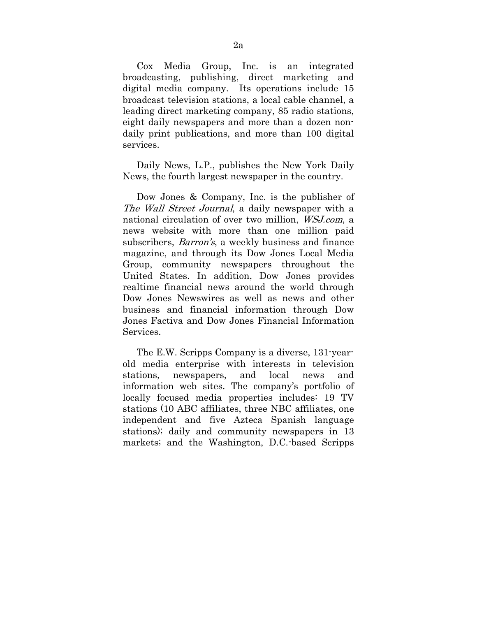Cox Media Group, Inc. is an integrated broadcasting, publishing, direct marketing and digital media company. Its operations include 15 broadcast television stations, a local cable channel, a leading direct marketing company, 85 radio stations, eight daily newspapers and more than a dozen nondaily print publications, and more than 100 digital services.

Daily News, L.P., publishes the New York Daily News, the fourth largest newspaper in the country.

Dow Jones & Company, Inc. is the publisher of The Wall Street Journal, a daily newspaper with a national circulation of over two million, WSJ.com, a news website with more than one million paid subscribers, Barron's, a weekly business and finance magazine, and through its Dow Jones Local Media Group, community newspapers throughout the United States. In addition, Dow Jones provides realtime financial news around the world through Dow Jones Newswires as well as news and other business and financial information through Dow Jones Factiva and Dow Jones Financial Information Services.

The E.W. Scripps Company is a diverse, 131-yearold media enterprise with interests in television stations, newspapers, and local news and information web sites. The company's portfolio of locally focused media properties includes: 19 TV stations (10 ABC affiliates, three NBC affiliates, one independent and five Azteca Spanish language stations); daily and community newspapers in 13 markets; and the Washington, D.C.-based Scripps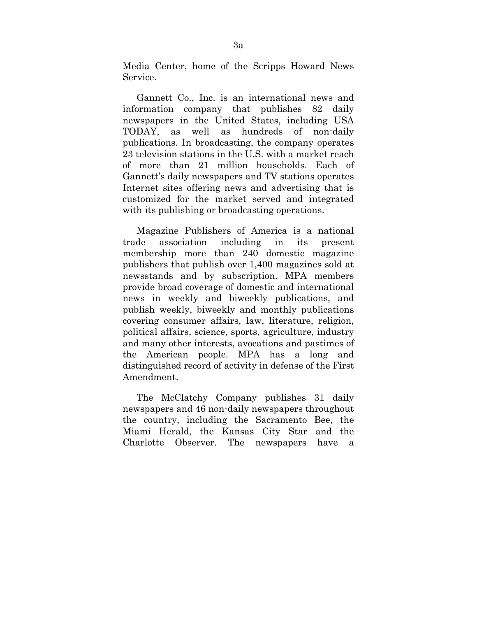Media Center, home of the Scripps Howard News Service.

Gannett Co., Inc. is an international news and information company that publishes 82 daily newspapers in the United States, including USA TODAY, as well as hundreds of non-daily publications. In broadcasting, the company operates 23 television stations in the U.S. with a market reach of more than 21 million households. Each of Gannett's daily newspapers and TV stations operates Internet sites offering news and advertising that is customized for the market served and integrated with its publishing or broadcasting operations.

Magazine Publishers of America is a national trade association including in its present membership more than 240 domestic magazine publishers that publish over 1,400 magazines sold at newsstands and by subscription. MPA members provide broad coverage of domestic and international news in weekly and biweekly publications, and publish weekly, biweekly and monthly publications covering consumer affairs, law, literature, religion, political affairs, science, sports, agriculture, industry and many other interests, avocations and pastimes of the American people. MPA has a long and distinguished record of activity in defense of the First Amendment.

The McClatchy Company publishes 31 daily newspapers and 46 non-daily newspapers throughout the country, including the Sacramento Bee, the Miami Herald, the Kansas City Star and the Charlotte Observer. The newspapers have a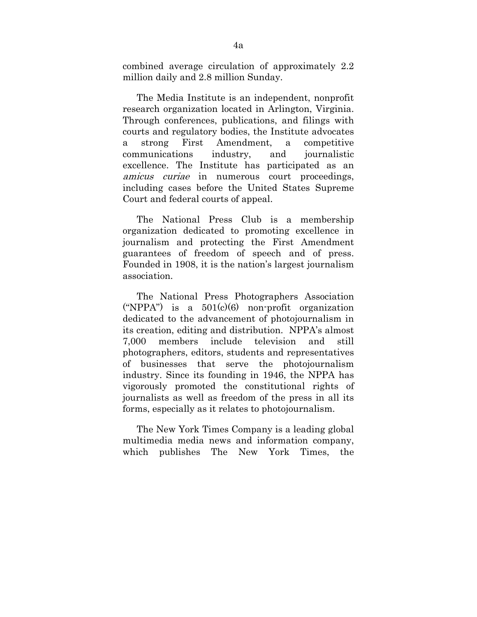combined average circulation of approximately 2.2 million daily and 2.8 million Sunday.

The Media Institute is an independent, nonprofit research organization located in Arlington, Virginia. Through conferences, publications, and filings with courts and regulatory bodies, the Institute advocates a strong First Amendment, a competitive communications industry, and journalistic excellence. The Institute has participated as an amicus curiae in numerous court proceedings, including cases before the United States Supreme Court and federal courts of appeal.

The National Press Club is a membership organization dedicated to promoting excellence in journalism and protecting the First Amendment guarantees of freedom of speech and of press. Founded in 1908, it is the nation's largest journalism association.

The National Press Photographers Association ("NPPA") is a  $501(c)(6)$  non-profit organization dedicated to the advancement of photojournalism in its creation, editing and distribution. NPPA's almost 7,000 members include television and still photographers, editors, students and representatives of businesses that serve the photojournalism industry. Since its founding in 1946, the NPPA has vigorously promoted the constitutional rights of journalists as well as freedom of the press in all its forms, especially as it relates to photojournalism.

The New York Times Company is a leading global multimedia media news and information company, which publishes The New York Times, the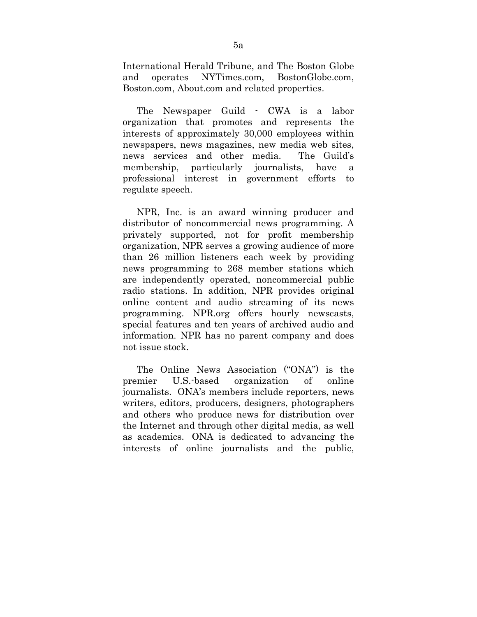International Herald Tribune, and The Boston Globe and operates NYTimes.com, BostonGlobe.com, Boston.com, About.com and related properties.

The Newspaper Guild - CWA is a labor organization that promotes and represents the interests of approximately 30,000 employees within newspapers, news magazines, new media web sites, news services and other media. The Guild's membership, particularly journalists, have a professional interest in government efforts to regulate speech.

NPR, Inc. is an award winning producer and distributor of noncommercial news programming. A privately supported, not for profit membership organization, NPR serves a growing audience of more than 26 million listeners each week by providing news programming to 268 member stations which are independently operated, noncommercial public radio stations. In addition, NPR provides original online content and audio streaming of its news programming. NPR.org offers hourly newscasts, special features and ten years of archived audio and information. NPR has no parent company and does not issue stock.

The Online News Association ("ONA") is the premier U.S.-based organization of online journalists. ONA's members include reporters, news writers, editors, producers, designers, photographers and others who produce news for distribution over the Internet and through other digital media, as well as academics. ONA is dedicated to advancing the interests of online journalists and the public,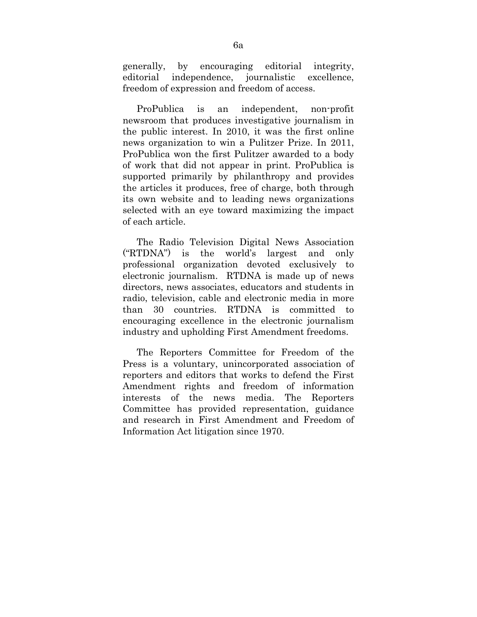generally, by encouraging editorial integrity, editorial independence, journalistic excellence, freedom of expression and freedom of access.

ProPublica is an independent, non-profit newsroom that produces investigative journalism in the public interest. In 2010, it was the first online news organization to win a Pulitzer Prize. In 2011, ProPublica won the first Pulitzer awarded to a body of work that did not appear in print. ProPublica is supported primarily by philanthropy and provides the articles it produces, free of charge, both through its own website and to leading news organizations selected with an eye toward maximizing the impact of each article.

The Radio Television Digital News Association ("RTDNA") is the world's largest and only professional organization devoted exclusively to electronic journalism. RTDNA is made up of news directors, news associates, educators and students in radio, television, cable and electronic media in more than 30 countries. RTDNA is committed to encouraging excellence in the electronic journalism industry and upholding First Amendment freedoms.

The Reporters Committee for Freedom of the Press is a voluntary, unincorporated association of reporters and editors that works to defend the First Amendment rights and freedom of information interests of the news media. The Reporters Committee has provided representation, guidance and research in First Amendment and Freedom of Information Act litigation since 1970.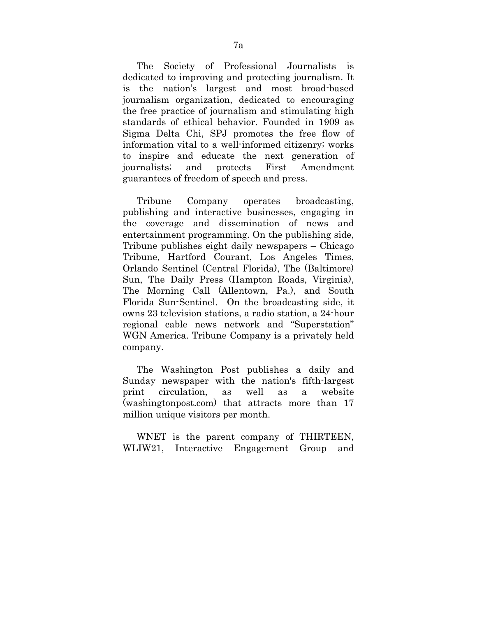The Society of Professional Journalists is dedicated to improving and protecting journalism. It is the nation's largest and most broad-based journalism organization, dedicated to encouraging the free practice of journalism and stimulating high standards of ethical behavior. Founded in 1909 as Sigma Delta Chi, SPJ promotes the free flow of information vital to a well-informed citizenry; works to inspire and educate the next generation of journalists; and protects First Amendment guarantees of freedom of speech and press.

Tribune Company operates broadcasting, publishing and interactive businesses, engaging in the coverage and dissemination of news and entertainment programming. On the publishing side, Tribune publishes eight daily newspapers – Chicago Tribune, Hartford Courant, Los Angeles Times, Orlando Sentinel (Central Florida), The (Baltimore) Sun, The Daily Press (Hampton Roads, Virginia), The Morning Call (Allentown, Pa.), and South Florida Sun-Sentinel. On the broadcasting side, it owns 23 television stations, a radio station, a 24-hour regional cable news network and "Superstation" WGN America. Tribune Company is a privately held company.

The Washington Post publishes a daily and Sunday newspaper with the nation's fifth-largest print circulation, as well as a website (washingtonpost.com) that attracts more than 17 million unique visitors per month.

WNET is the parent company of THIRTEEN, WLIW21, Interactive Engagement Group and